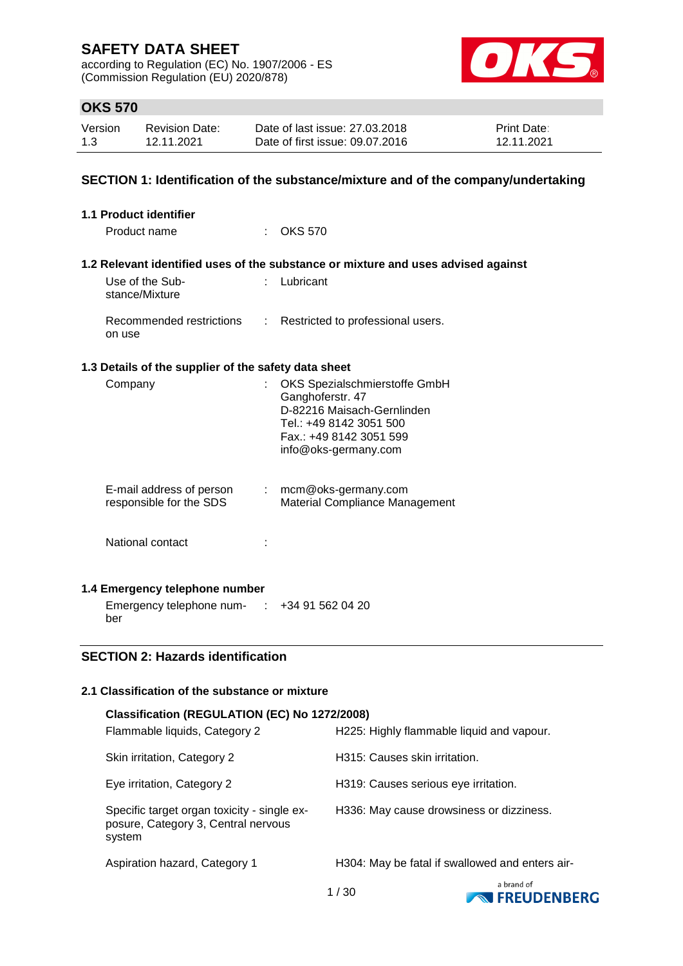according to Regulation (EC) No. 1907/2006 - ES (Commission Regulation (EU) 2020/878)



### **OKS 570**

| Version | Revision Date: | Date of last issue: 27,03,2018  | <b>Print Date:</b> |
|---------|----------------|---------------------------------|--------------------|
| 1.3     | 12.11.2021     | Date of first issue: 09.07.2016 | 12.11.2021         |

### **SECTION 1: Identification of the substance/mixture and of the company/undertaking**

| 1.1 Product identifier                               |                       |                                                                                                                                                               |
|------------------------------------------------------|-----------------------|---------------------------------------------------------------------------------------------------------------------------------------------------------------|
| Product name                                         |                       | <b>OKS 570</b>                                                                                                                                                |
|                                                      |                       | 1.2 Relevant identified uses of the substance or mixture and uses advised against                                                                             |
| Use of the Sub-<br>stance/Mixture                    |                       | Lubricant                                                                                                                                                     |
| Recommended restrictions<br>on use                   | ÷                     | Restricted to professional users.                                                                                                                             |
| 1.3 Details of the supplier of the safety data sheet |                       |                                                                                                                                                               |
| Company                                              |                       | OKS Spezialschmierstoffe GmbH<br>Ganghoferstr. 47<br>D-82216 Maisach-Gernlinden<br>Tel.: +49 8142 3051 500<br>Fax.: +49 8142 3051 599<br>info@oks-germany.com |
| E-mail address of person<br>responsible for the SDS  | $\mathbb{Z}^{\times}$ | mcm@oks-germany.com<br>Material Compliance Management                                                                                                         |
| National contact                                     |                       |                                                                                                                                                               |
| 1.4 Emergency telephone number                       |                       |                                                                                                                                                               |

Emergency telephone num- : +34 91 562 04 20

# ber

# **SECTION 2: Hazards identification**

### **2.1 Classification of the substance or mixture**

| Classification (REGULATION (EC) No 1272/2008)                                                |                                                 |  |  |  |  |
|----------------------------------------------------------------------------------------------|-------------------------------------------------|--|--|--|--|
| Flammable liquids, Category 2                                                                | H225: Highly flammable liquid and vapour.       |  |  |  |  |
| Skin irritation, Category 2                                                                  | H315: Causes skin irritation.                   |  |  |  |  |
| Eye irritation, Category 2                                                                   | H319: Causes serious eye irritation.            |  |  |  |  |
| Specific target organ toxicity - single ex-<br>posure, Category 3, Central nervous<br>system | H336: May cause drowsiness or dizziness.        |  |  |  |  |
| Aspiration hazard, Category 1                                                                | H304: May be fatal if swallowed and enters air- |  |  |  |  |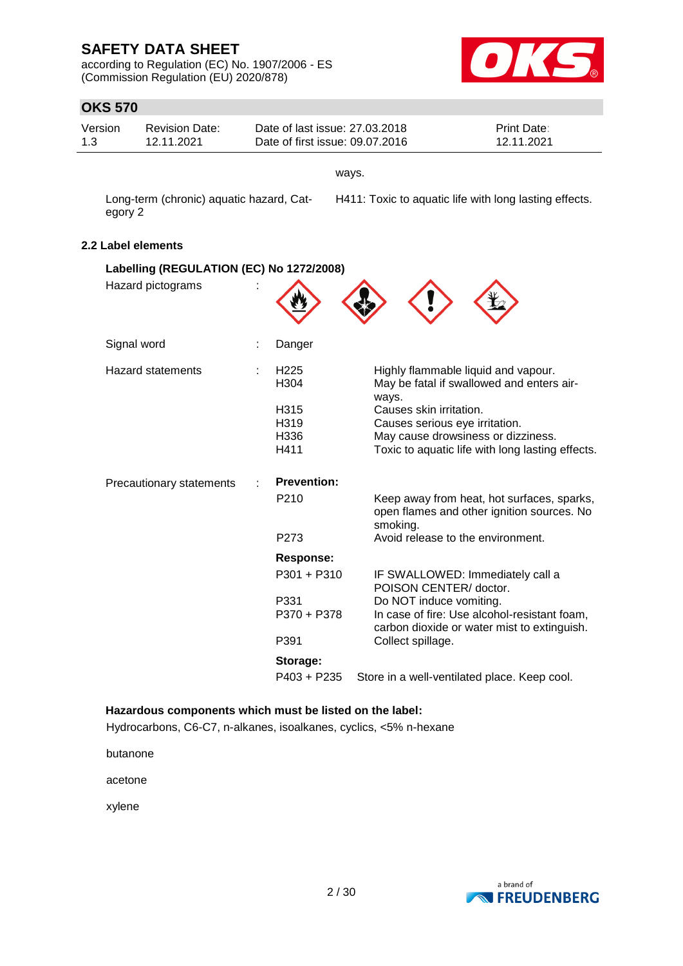according to Regulation (EC) No. 1907/2006 - ES (Commission Regulation (EU) 2020/878)



# **OKS 570**

| ט <i>ו</i> ט טוו   |                                          |   |                                                                   |       |                                                        |                                                                                             |  |
|--------------------|------------------------------------------|---|-------------------------------------------------------------------|-------|--------------------------------------------------------|---------------------------------------------------------------------------------------------|--|
| Version<br>1.3     | <b>Revision Date:</b><br>12.11.2021      |   | Date of last issue: 27,03,2018<br>Date of first issue: 09.07.2016 |       |                                                        | Print Date:<br>12.11.2021                                                                   |  |
|                    |                                          |   |                                                                   | ways. |                                                        |                                                                                             |  |
| egory 2            | Long-term (chronic) aquatic hazard, Cat- |   |                                                                   |       | H411: Toxic to aquatic life with long lasting effects. |                                                                                             |  |
| 2.2 Label elements |                                          |   |                                                                   |       |                                                        |                                                                                             |  |
|                    | Labelling (REGULATION (EC) No 1272/2008) |   |                                                                   |       |                                                        |                                                                                             |  |
|                    | Hazard pictograms                        |   |                                                                   |       |                                                        |                                                                                             |  |
| Signal word        |                                          | ÷ | Danger                                                            |       |                                                        |                                                                                             |  |
|                    | <b>Hazard statements</b>                 |   | H <sub>225</sub><br>H304                                          |       | ways.                                                  | Highly flammable liquid and vapour.<br>May be fatal if swallowed and enters air-            |  |
|                    |                                          |   | H315                                                              |       | Causes skin irritation.                                |                                                                                             |  |
|                    |                                          |   | H319<br>H336                                                      |       | Causes serious eye irritation.                         | May cause drowsiness or dizziness.                                                          |  |
|                    |                                          |   | H411                                                              |       |                                                        | Toxic to aquatic life with long lasting effects.                                            |  |
|                    | Precautionary statements                 |   | <b>Prevention:</b>                                                |       |                                                        |                                                                                             |  |
|                    |                                          |   | P <sub>210</sub>                                                  |       | smoking.                                               | Keep away from heat, hot surfaces, sparks,<br>open flames and other ignition sources. No    |  |
|                    |                                          |   | P273                                                              |       | Avoid release to the environment.                      |                                                                                             |  |
|                    |                                          |   | <b>Response:</b>                                                  |       |                                                        |                                                                                             |  |
|                    |                                          |   | P301 + P310                                                       |       | POISON CENTER/ doctor.                                 | IF SWALLOWED: Immediately call a                                                            |  |
|                    |                                          |   | P331<br>P370 + P378                                               |       | Do NOT induce vomiting.                                | In case of fire: Use alcohol-resistant foam,<br>carbon dioxide or water mist to extinguish. |  |
|                    |                                          |   | P391                                                              |       | Collect spillage.                                      |                                                                                             |  |
|                    |                                          |   | Storage:                                                          |       |                                                        |                                                                                             |  |
|                    |                                          |   | P403 + P235                                                       |       |                                                        | Store in a well-ventilated place. Keep cool.                                                |  |

### **Hazardous components which must be listed on the label:**

Hydrocarbons, C6-C7, n-alkanes, isoalkanes, cyclics, <5% n-hexane

butanone

acetone

xylene

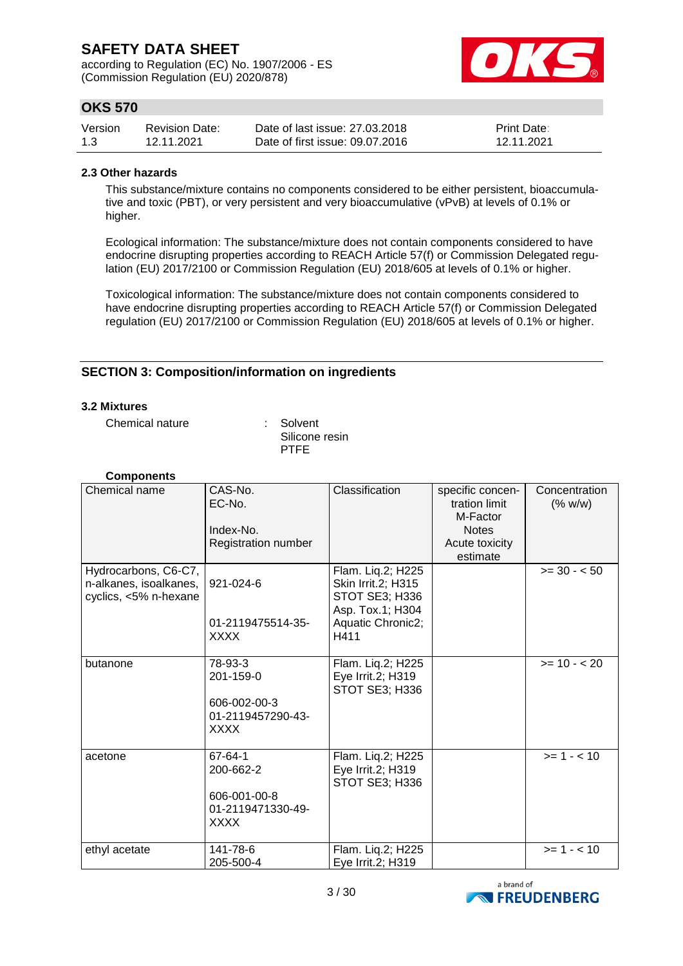according to Regulation (EC) No. 1907/2006 - ES (Commission Regulation (EU) 2020/878)



# **OKS 570**

| Version | <b>Revision Date:</b> | Date of last issue: 27,03,2018  | <b>Print Date:</b> |
|---------|-----------------------|---------------------------------|--------------------|
| 1.3     | 12.11.2021            | Date of first issue: 09.07.2016 | 12.11.2021         |

#### **2.3 Other hazards**

This substance/mixture contains no components considered to be either persistent, bioaccumulative and toxic (PBT), or very persistent and very bioaccumulative (vPvB) at levels of 0.1% or higher.

Ecological information: The substance/mixture does not contain components considered to have endocrine disrupting properties according to REACH Article 57(f) or Commission Delegated regulation (EU) 2017/2100 or Commission Regulation (EU) 2018/605 at levels of 0.1% or higher.

Toxicological information: The substance/mixture does not contain components considered to have endocrine disrupting properties according to REACH Article 57(f) or Commission Delegated regulation (EU) 2017/2100 or Commission Regulation (EU) 2018/605 at levels of 0.1% or higher.

### **SECTION 3: Composition/information on ingredients**

#### **3.2 Mixtures**

Chemical nature : Solvent

Silicone resin PTFE

| <b>Components</b>                                                       |                                                                          |                                                                                      |                                                               |                          |
|-------------------------------------------------------------------------|--------------------------------------------------------------------------|--------------------------------------------------------------------------------------|---------------------------------------------------------------|--------------------------|
| Chemical name                                                           | CAS-No.<br>EC-No.<br>Index-No.                                           | Classification                                                                       | specific concen-<br>tration limit<br>M-Factor<br><b>Notes</b> | Concentration<br>(% w/w) |
|                                                                         | Registration number                                                      |                                                                                      | Acute toxicity<br>estimate                                    |                          |
| Hydrocarbons, C6-C7,<br>n-alkanes, isoalkanes,<br>cyclics, <5% n-hexane | 921-024-6                                                                | Flam. Liq.2; H225<br>Skin Irrit.2; H315<br><b>STOT SE3; H336</b><br>Asp. Tox.1; H304 |                                                               | $>= 30 - 50$             |
|                                                                         | 01-2119475514-35-<br><b>XXXX</b>                                         | Aquatic Chronic2;<br>H411                                                            |                                                               |                          |
| butanone                                                                | 78-93-3<br>201-159-0<br>606-002-00-3<br>01-2119457290-43-<br><b>XXXX</b> | Flam. Liq.2; H225<br>Eye Irrit.2; H319<br>STOT SE3; H336                             |                                                               | $>= 10 - 20$             |
| acetone                                                                 | 67-64-1<br>200-662-2<br>606-001-00-8<br>01-2119471330-49-<br><b>XXXX</b> | Flam. Liq.2; H225<br>Eye Irrit.2; H319<br>STOT SE3; H336                             |                                                               | $>= 1 - 10$              |
| ethyl acetate                                                           | 141-78-6<br>205-500-4                                                    | Flam. Liq.2; H225<br>Eye Irrit.2; H319                                               |                                                               | $>= 1 - 10$              |

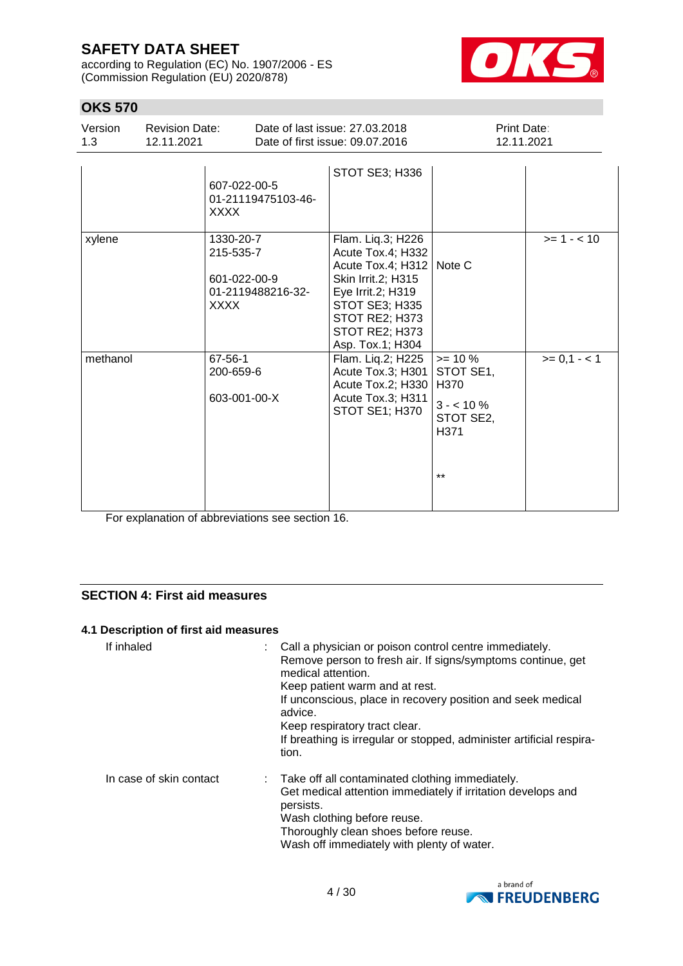according to Regulation (EC) No. 1907/2006 - ES (Commission Regulation (EU) 2020/878)



# **OKS 570**

| Version<br>1.3 | <b>Revision Date:</b><br>12.11.2021 |                                    | Date of last issue: 27,03,2018<br>Date of first issue: 09.07.2016 | Print Date:<br>12.11.2021 |             |
|----------------|-------------------------------------|------------------------------------|-------------------------------------------------------------------|---------------------------|-------------|
|                | <b>XXXX</b>                         | 607-022-00-5<br>01-21119475103-46- | STOT SE3; H336                                                    |                           |             |
| xylene         |                                     | 1330-20-7<br>215-535-7             | Flam. Liq.3; H226<br>Acute Tox 4: H332                            |                           | $>= 1 - 10$ |

|          | 21J-JJJ-7<br>601-022-00-9<br>01-2119488216-32-<br>XXXX | <b>AUULT TUA.4, LIJJZ</b><br>Acute Tox.4; H312   Note C<br>Skin Irrit.2; H315<br>Eye Irrit.2; H319<br><b>STOT SE3; H335</b><br>STOT RE2; H373<br>STOT RE2; H373<br>Asp. Tox.1; H304 |                                                                             |              |
|----------|--------------------------------------------------------|-------------------------------------------------------------------------------------------------------------------------------------------------------------------------------------|-----------------------------------------------------------------------------|--------------|
| methanol | 67-56-1<br>200-659-6<br>603-001-00-X                   | Flam. Liq.2; H225<br>Acute Tox.3; H301<br>Acute Tox.2; H330<br>Acute Tox.3; H311<br>STOT SE1; H370                                                                                  | $>= 10 \%$<br>STOT SE1,<br>H370<br>$3 - 10\%$<br>STOT SE2,<br>H371<br>$***$ | $>= 0,1 - 1$ |

For explanation of abbreviations see section 16.

### **SECTION 4: First aid measures**

#### **4.1 Description of first aid measures**

| If inhaled              | : Call a physician or poison control centre immediately.<br>Remove person to fresh air. If signs/symptoms continue, get<br>medical attention.<br>Keep patient warm and at rest.<br>If unconscious, place in recovery position and seek medical<br>advice.<br>Keep respiratory tract clear.<br>If breathing is irregular or stopped, administer artificial respira-<br>tion. |
|-------------------------|-----------------------------------------------------------------------------------------------------------------------------------------------------------------------------------------------------------------------------------------------------------------------------------------------------------------------------------------------------------------------------|
| In case of skin contact | : Take off all contaminated clothing immediately.<br>Get medical attention immediately if irritation develops and<br>persists.<br>Wash clothing before reuse.<br>Thoroughly clean shoes before reuse.<br>Wash off immediately with plenty of water.                                                                                                                         |

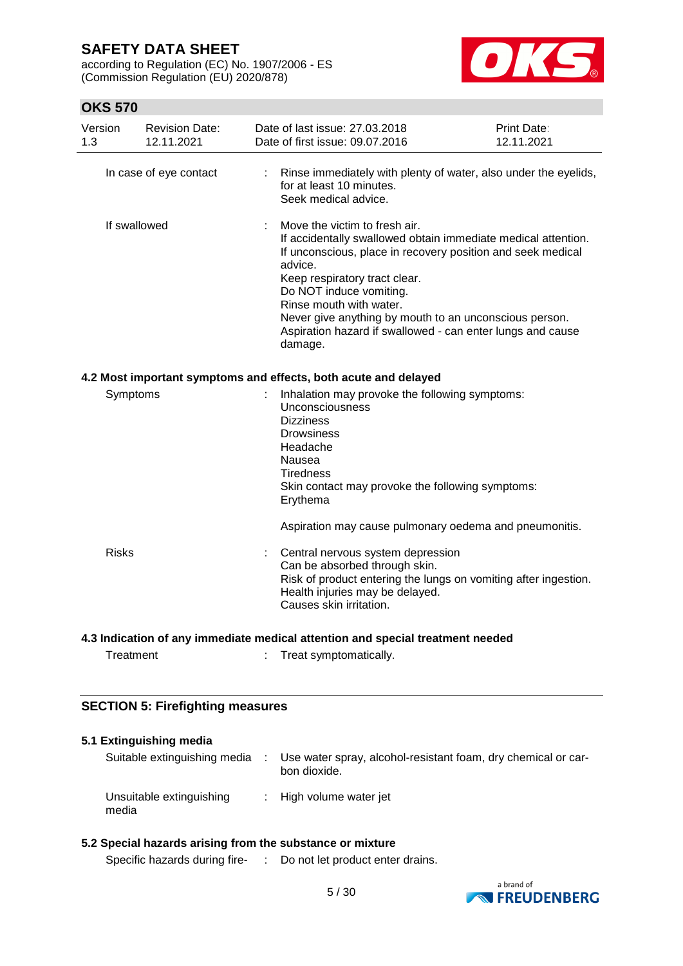according to Regulation (EC) No. 1907/2006 - ES (Commission Regulation (EU) 2020/878)



# **OKS 570**

| Version<br>1.3 | <b>Revision Date:</b><br>12.11.2021 | Date of last issue: 27.03.2018<br>Date of first issue: 09.07.2016                                                                                                                                                                                                                                                                                                                                  | Print Date:<br>12.11.2021 |
|----------------|-------------------------------------|----------------------------------------------------------------------------------------------------------------------------------------------------------------------------------------------------------------------------------------------------------------------------------------------------------------------------------------------------------------------------------------------------|---------------------------|
|                | In case of eye contact              | : Rinse immediately with plenty of water, also under the eyelids,<br>for at least 10 minutes.<br>Seek medical advice.                                                                                                                                                                                                                                                                              |                           |
|                | If swallowed                        | Move the victim to fresh air.<br>If accidentally swallowed obtain immediate medical attention.<br>If unconscious, place in recovery position and seek medical<br>advice.<br>Keep respiratory tract clear.<br>Do NOT induce vomiting.<br>Rinse mouth with water.<br>Never give anything by mouth to an unconscious person.<br>Aspiration hazard if swallowed - can enter lungs and cause<br>damage. |                           |
|                |                                     | 4.2 Most important symptoms and effects, both acute and delayed                                                                                                                                                                                                                                                                                                                                    |                           |
|                | Symptoms                            | Inhalation may provoke the following symptoms:<br>Unconsciousness<br><b>Dizziness</b><br><b>Drowsiness</b><br>Headache<br>Nausea<br><b>Tiredness</b><br>Skin contact may provoke the following symptoms:<br>Erythema                                                                                                                                                                               |                           |
|                |                                     | Aspiration may cause pulmonary oedema and pneumonitis.                                                                                                                                                                                                                                                                                                                                             |                           |
| <b>Risks</b>   |                                     | Central nervous system depression<br>Can be absorbed through skin.<br>Risk of product entering the lungs on vomiting after ingestion.<br>Health injuries may be delayed.<br>Causes skin irritation.                                                                                                                                                                                                |                           |
|                |                                     | 4.3 Indication of any immediate medical attention and special treatment needed                                                                                                                                                                                                                                                                                                                     |                           |

Treatment : Treat symptomatically.

### **SECTION 5: Firefighting measures**

### **5.1 Extinguishing media** Suitable extinguishing media : Use water spray, alcohol-resistant foam, dry chemical or carbon dioxide. Unsuitable extinguishing media : High volume water jet

### **5.2 Special hazards arising from the substance or mixture**

Specific hazards during fire- : Do not let product enter drains.

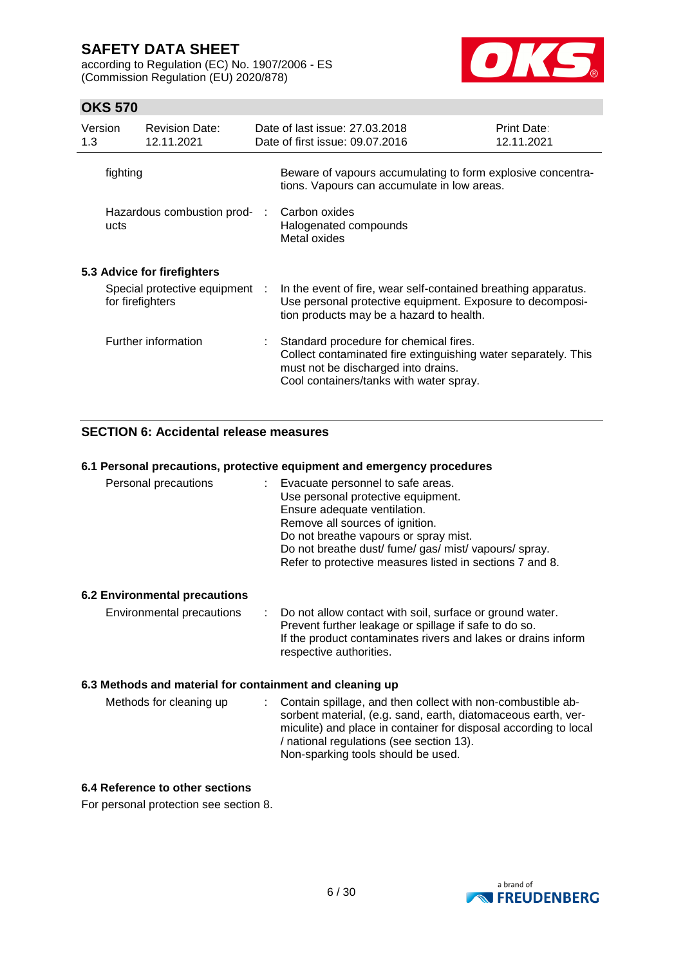according to Regulation (EC) No. 1907/2006 - ES (Commission Regulation (EU) 2020/878)



### **OKS 570**

| Version<br>1.3 | <b>Revision Date:</b><br>12.11.2021                | Date of last issue: 27,03,2018<br>Date of first issue: 09.07.2016                                                                                                                          | Print Date:<br>12.11.2021 |
|----------------|----------------------------------------------------|--------------------------------------------------------------------------------------------------------------------------------------------------------------------------------------------|---------------------------|
| fighting       |                                                    | Beware of vapours accumulating to form explosive concentra-<br>tions. Vapours can accumulate in low areas.                                                                                 |                           |
| ucts           | Hazardous combustion prod-                         | Carbon oxides<br>Halogenated compounds<br>Metal oxides                                                                                                                                     |                           |
|                | 5.3 Advice for firefighters                        |                                                                                                                                                                                            |                           |
|                | Special protective equipment :<br>for firefighters | In the event of fire, wear self-contained breathing apparatus.<br>Use personal protective equipment. Exposure to decomposi-<br>tion products may be a hazard to health.                    |                           |
|                | Further information                                | Standard procedure for chemical fires.<br>Collect contaminated fire extinguishing water separately. This<br>must not be discharged into drains.<br>Cool containers/tanks with water spray. |                           |

### **SECTION 6: Accidental release measures**

#### **6.1 Personal precautions, protective equipment and emergency procedures**

| Personal precautions | Evacuate personnel to safe areas.<br>Use personal protective equipment.<br>Ensure adequate ventilation.<br>Remove all sources of ignition.<br>Do not breathe vapours or spray mist.<br>Do not breathe dust/ fume/ gas/ mist/ vapours/ spray.<br>Refer to protective measures listed in sections 7 and 8. |
|----------------------|----------------------------------------------------------------------------------------------------------------------------------------------------------------------------------------------------------------------------------------------------------------------------------------------------------|
|----------------------|----------------------------------------------------------------------------------------------------------------------------------------------------------------------------------------------------------------------------------------------------------------------------------------------------------|

#### **6.2 Environmental precautions**

| Environmental precautions | : Do not allow contact with soil, surface or ground water.    |
|---------------------------|---------------------------------------------------------------|
|                           | Prevent further leakage or spillage if safe to do so.         |
|                           | If the product contaminates rivers and lakes or drains inform |
|                           | respective authorities.                                       |

#### **6.3 Methods and material for containment and cleaning up**

| Methods for cleaning up | : Contain spillage, and then collect with non-combustible ab-<br>sorbent material, (e.g. sand, earth, diatomaceous earth, ver-<br>miculite) and place in container for disposal according to local<br>/ national regulations (see section 13).<br>Non-sparking tools should be used. |
|-------------------------|--------------------------------------------------------------------------------------------------------------------------------------------------------------------------------------------------------------------------------------------------------------------------------------|
|                         |                                                                                                                                                                                                                                                                                      |

### **6.4 Reference to other sections**

For personal protection see section 8.

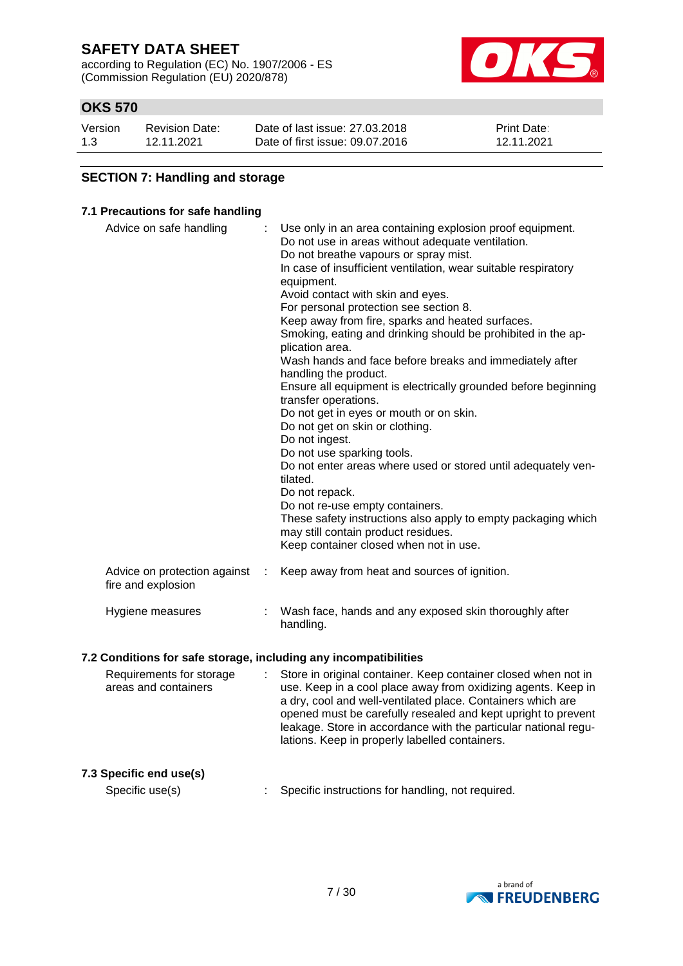according to Regulation (EC) No. 1907/2006 - ES (Commission Regulation (EU) 2020/878)



# **OKS 570**

| Version | <b>Revision Date:</b> | Date of last issue: 27,03,2018  | <b>Print Date:</b> |
|---------|-----------------------|---------------------------------|--------------------|
| 1.3     | 12.11.2021            | Date of first issue: 09.07.2016 | 12.11.2021         |

### **SECTION 7: Handling and storage**

#### **7.1 Precautions for safe handling**

| Advice on safe handling                            |   | Use only in an area containing explosion proof equipment.<br>Do not use in areas without adequate ventilation.<br>Do not breathe vapours or spray mist.<br>In case of insufficient ventilation, wear suitable respiratory<br>equipment.<br>Avoid contact with skin and eyes.<br>For personal protection see section 8.<br>Keep away from fire, sparks and heated surfaces.<br>Smoking, eating and drinking should be prohibited in the ap-<br>plication area.<br>Wash hands and face before breaks and immediately after<br>handling the product.<br>Ensure all equipment is electrically grounded before beginning<br>transfer operations.<br>Do not get in eyes or mouth or on skin.<br>Do not get on skin or clothing.<br>Do not ingest.<br>Do not use sparking tools.<br>Do not enter areas where used or stored until adequately ven-<br>tilated.<br>Do not repack.<br>Do not re-use empty containers.<br>These safety instructions also apply to empty packaging which<br>may still contain product residues.<br>Keep container closed when not in use. |
|----------------------------------------------------|---|---------------------------------------------------------------------------------------------------------------------------------------------------------------------------------------------------------------------------------------------------------------------------------------------------------------------------------------------------------------------------------------------------------------------------------------------------------------------------------------------------------------------------------------------------------------------------------------------------------------------------------------------------------------------------------------------------------------------------------------------------------------------------------------------------------------------------------------------------------------------------------------------------------------------------------------------------------------------------------------------------------------------------------------------------------------|
| Advice on protection against<br>fire and explosion | ÷ | Keep away from heat and sources of ignition.                                                                                                                                                                                                                                                                                                                                                                                                                                                                                                                                                                                                                                                                                                                                                                                                                                                                                                                                                                                                                  |
| Hygiene measures                                   |   | Wash face, hands and any exposed skin thoroughly after<br>handling.                                                                                                                                                                                                                                                                                                                                                                                                                                                                                                                                                                                                                                                                                                                                                                                                                                                                                                                                                                                           |

#### **7.2 Conditions for safe storage, including any incompatibilities**

| Requirements for storage<br>areas and containers |  | : Store in original container. Keep container closed when not in<br>use. Keep in a cool place away from oxidizing agents. Keep in<br>a dry, cool and well-ventilated place. Containers which are<br>opened must be carefully resealed and kept upright to prevent<br>leakage. Store in accordance with the particular national regu-<br>lations. Keep in properly labelled containers. |
|--------------------------------------------------|--|----------------------------------------------------------------------------------------------------------------------------------------------------------------------------------------------------------------------------------------------------------------------------------------------------------------------------------------------------------------------------------------|
|                                                  |  |                                                                                                                                                                                                                                                                                                                                                                                        |

**7.3 Specific end use(s)**

Specific use(s) : Specific instructions for handling, not required.

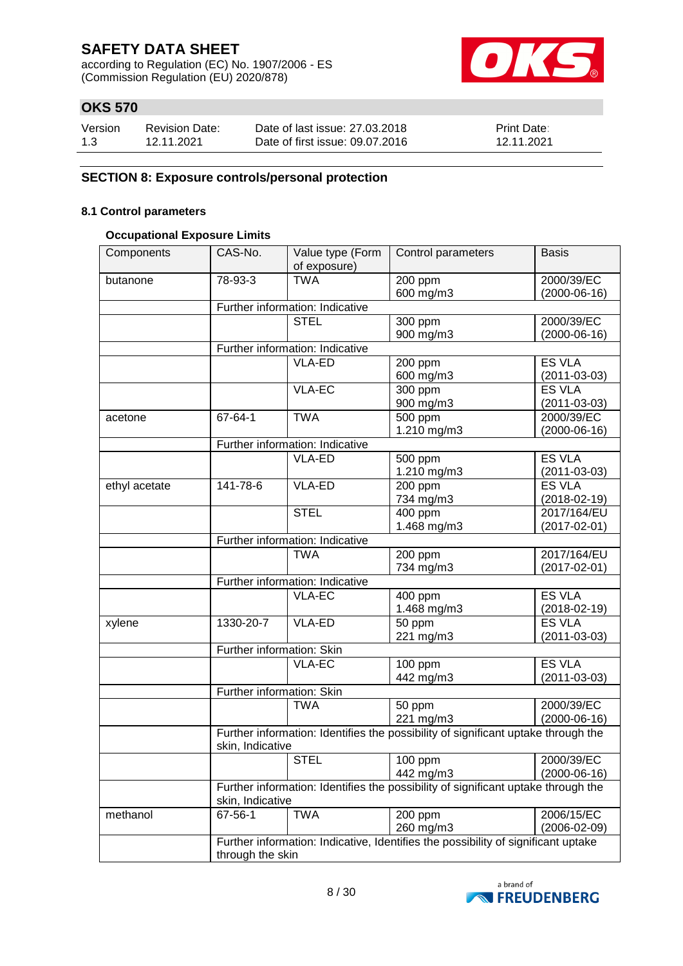according to Regulation (EC) No. 1907/2006 - ES (Commission Regulation (EU) 2020/878)



# **OKS 570**

| Version | <b>Revision Date:</b> | Date of last issue: 27,03,2018  | <b>Print Date:</b> |
|---------|-----------------------|---------------------------------|--------------------|
| 1.3     | 12.11.2021            | Date of first issue: 09.07.2016 | 12.11.2021         |

### **SECTION 8: Exposure controls/personal protection**

#### **8.1 Control parameters**

#### **Occupational Exposure Limits**

| Components    | CAS-No.                         | Value type (Form                                                                  | Control parameters                                                                | <b>Basis</b>       |  |  |  |
|---------------|---------------------------------|-----------------------------------------------------------------------------------|-----------------------------------------------------------------------------------|--------------------|--|--|--|
|               |                                 | of exposure)<br><b>TWA</b>                                                        |                                                                                   |                    |  |  |  |
| butanone      | 78-93-3                         |                                                                                   | 200 ppm                                                                           | 2000/39/EC         |  |  |  |
|               |                                 |                                                                                   | 600 mg/m3                                                                         | $(2000-06-16)$     |  |  |  |
|               | Further information: Indicative |                                                                                   |                                                                                   |                    |  |  |  |
|               |                                 | <b>STEL</b>                                                                       | 300 ppm                                                                           | 2000/39/EC         |  |  |  |
|               |                                 |                                                                                   | 900 mg/m3                                                                         | $(2000-06-16)$     |  |  |  |
|               |                                 | Further information: Indicative                                                   |                                                                                   |                    |  |  |  |
|               |                                 | VLA-ED                                                                            | 200 ppm                                                                           | <b>ES VLA</b>      |  |  |  |
|               |                                 |                                                                                   | 600 mg/m3                                                                         | $(2011 - 03 - 03)$ |  |  |  |
|               |                                 | VLA-EC                                                                            | 300 ppm                                                                           | <b>ES VLA</b>      |  |  |  |
|               |                                 |                                                                                   | 900 mg/m3                                                                         | $(2011 - 03 - 03)$ |  |  |  |
| acetone       | 67-64-1                         | <b>TWA</b>                                                                        | 500 ppm                                                                           | 2000/39/EC         |  |  |  |
|               |                                 |                                                                                   | 1.210 mg/m3                                                                       | $(2000-06-16)$     |  |  |  |
|               |                                 | Further information: Indicative                                                   |                                                                                   |                    |  |  |  |
|               |                                 | VLA-ED                                                                            | 500 ppm                                                                           | <b>ES VLA</b>      |  |  |  |
|               |                                 |                                                                                   | 1.210 mg/m3                                                                       | $(2011 - 03 - 03)$ |  |  |  |
| ethyl acetate | 141-78-6                        | VLA-ED                                                                            | 200 ppm                                                                           | <b>ES VLA</b>      |  |  |  |
|               |                                 |                                                                                   | 734 mg/m3                                                                         | $(2018 - 02 - 19)$ |  |  |  |
|               |                                 | <b>STEL</b>                                                                       | 400 ppm                                                                           | 2017/164/EU        |  |  |  |
|               |                                 |                                                                                   | 1.468 mg/m3                                                                       | $(2017 - 02 - 01)$ |  |  |  |
|               |                                 | Further information: Indicative                                                   |                                                                                   |                    |  |  |  |
|               |                                 | <b>TWA</b>                                                                        | 200 ppm                                                                           | 2017/164/EU        |  |  |  |
|               |                                 |                                                                                   | 734 mg/m3                                                                         | $(2017 - 02 - 01)$ |  |  |  |
|               |                                 | Further information: Indicative                                                   |                                                                                   |                    |  |  |  |
|               |                                 | <b>VLA-EC</b>                                                                     | 400 ppm                                                                           | <b>ES VLA</b>      |  |  |  |
|               |                                 |                                                                                   | 1.468 mg/m3                                                                       | $(2018 - 02 - 19)$ |  |  |  |
| xylene        | 1330-20-7                       | VLA-ED                                                                            | 50 ppm                                                                            | <b>ES VLA</b>      |  |  |  |
|               |                                 |                                                                                   | 221 mg/m3                                                                         | $(2011 - 03 - 03)$ |  |  |  |
|               | Further information: Skin       |                                                                                   |                                                                                   |                    |  |  |  |
|               |                                 | <b>VLA-EC</b>                                                                     | 100 ppm                                                                           | <b>ES VLA</b>      |  |  |  |
|               |                                 |                                                                                   | 442 mg/m3                                                                         | $(2011 - 03 - 03)$ |  |  |  |
|               | Further information: Skin       |                                                                                   |                                                                                   |                    |  |  |  |
|               |                                 | <b>TWA</b>                                                                        | 50 ppm                                                                            | 2000/39/EC         |  |  |  |
|               |                                 |                                                                                   | 221 mg/m3                                                                         | $(2000-06-16)$     |  |  |  |
|               |                                 |                                                                                   | Further information: Identifies the possibility of significant uptake through the |                    |  |  |  |
|               | skin, Indicative                |                                                                                   |                                                                                   |                    |  |  |  |
|               |                                 | STEL                                                                              | $100$ ppm                                                                         | 2000/39/EC         |  |  |  |
|               |                                 |                                                                                   | 442 mg/m3                                                                         | $(2000-06-16)$     |  |  |  |
|               |                                 |                                                                                   | Further information: Identifies the possibility of significant uptake through the |                    |  |  |  |
|               | skin, Indicative                |                                                                                   |                                                                                   |                    |  |  |  |
| methanol      | 67-56-1                         | <b>TWA</b>                                                                        | 200 ppm                                                                           | 2006/15/EC         |  |  |  |
|               |                                 |                                                                                   | 260 mg/m3                                                                         | $(2006 - 02 - 09)$ |  |  |  |
|               |                                 | Further information: Indicative, Identifies the possibility of significant uptake |                                                                                   |                    |  |  |  |
|               | through the skin                |                                                                                   |                                                                                   |                    |  |  |  |

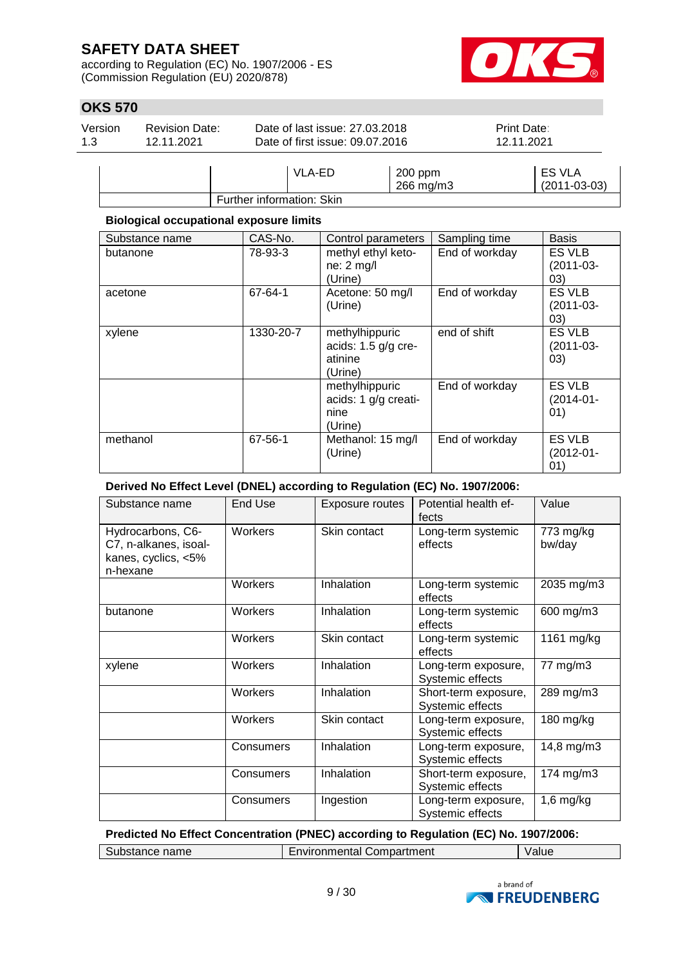according to Regulation (EC) No. 1907/2006 - ES (Commission Regulation (EU) 2020/878)



# **OKS 570**

| Version<br>1.3 | <b>Revision Date:</b><br>12.11.2021 | Date of last issue: 27,03,2018<br>Date of first issue: 09.07.2016 |       | <b>Print Date:</b><br>12.11.2021   |  |
|----------------|-------------------------------------|-------------------------------------------------------------------|-------|------------------------------------|--|
|                |                                     | $\overline{\phantom{a}}$                                          | 0.001 | $\Gamma$ $\cap$ $\Gamma$ $\Lambda$ |  |

|                           | A-ED | $200$ ppm | <b>ES VLA</b>      |
|---------------------------|------|-----------|--------------------|
|                           |      | 266 mg/m3 | $(2011 - 03 - 03)$ |
| Further information: Skin |      |           |                    |
|                           |      |           |                    |

### **Biological occupational exposure limits**

| Substance name | CAS-No.   | Control parameters                                            | Sampling time  | <b>Basis</b>                            |
|----------------|-----------|---------------------------------------------------------------|----------------|-----------------------------------------|
| butanone       | 78-93-3   | methyl ethyl keto-<br>$ne: 2$ mg/l<br>(Urine)                 | End of workday | ES VLB<br>$(2011-03-$<br>(03)           |
| acetone        | 67-64-1   | Acetone: 50 mg/l<br>(Urine)                                   | End of workday | ES VLB<br>$(2011-03-$<br>03)            |
| xylene         | 1330-20-7 | methylhippuric<br>acids: $1.5$ g/g cre-<br>atinine<br>(Urine) | end of shift   | ES VLB<br>$(2011 - 03 -$<br>(03)        |
|                |           | methylhippuric<br>acids: 1 g/g creati-<br>nine<br>(Urine)     | End of workday | <b>ES VLB</b><br>$(2014 - 01 -$<br>(01) |
| methanol       | 67-56-1   | Methanol: 15 mg/l<br>(Urine)                                  | End of workday | ES VLB<br>$(2012 - 01 -$<br>(01)        |

### **Derived No Effect Level (DNEL) according to Regulation (EC) No. 1907/2006:**

| Substance name                                                                | End Use   | <b>Exposure routes</b> | Potential health ef-<br>fects            | Value               |
|-------------------------------------------------------------------------------|-----------|------------------------|------------------------------------------|---------------------|
| Hydrocarbons, C6-<br>C7, n-alkanes, isoal-<br>kanes, cyclics, <5%<br>n-hexane | Workers   | Skin contact           | Long-term systemic<br>effects            | 773 mg/kg<br>bw/day |
|                                                                               | Workers   | Inhalation             | Long-term systemic<br>effects            | 2035 mg/m3          |
| butanone                                                                      | Workers   | Inhalation             | Long-term systemic<br>effects            | 600 mg/m3           |
|                                                                               | Workers   | Skin contact           | Long-term systemic<br>effects            | 1161 mg/kg          |
| xylene                                                                        | Workers   | Inhalation             | Long-term exposure,<br>Systemic effects  | 77 mg/m3            |
|                                                                               | Workers   | Inhalation             | Short-term exposure,<br>Systemic effects | 289 mg/m3           |
|                                                                               | Workers   | Skin contact           | Long-term exposure,<br>Systemic effects  | $180$ mg/kg         |
|                                                                               | Consumers | Inhalation             | Long-term exposure,<br>Systemic effects  | 14,8 mg/m3          |
|                                                                               | Consumers | Inhalation             | Short-term exposure,<br>Systemic effects | 174 mg/m3           |
|                                                                               | Consumers | Ingestion              | Long-term exposure,<br>Systemic effects  | $1,6$ mg/kg         |

**Predicted No Effect Concentration (PNEC) according to Regulation (EC) No. 1907/2006:**

Substance name Environmental Compartment Value

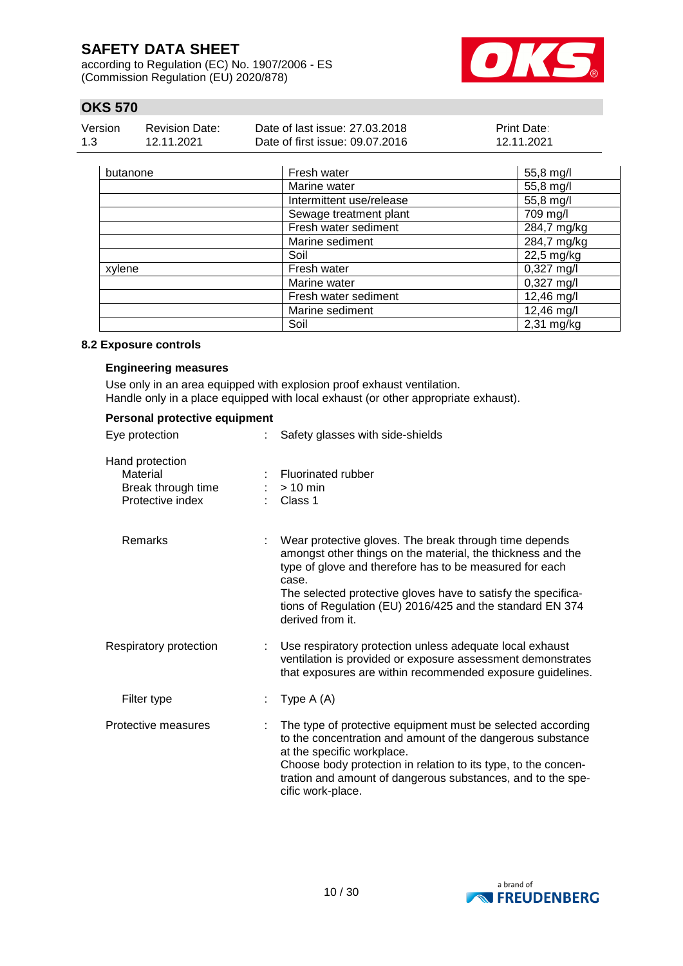according to Regulation (EC) No. 1907/2006 - ES (Commission Regulation (EU) 2020/878)



# **OKS 570**

| Version | Revision Date: | Date of last issue: 27,03,2018  | <b>Print Date:</b> |
|---------|----------------|---------------------------------|--------------------|
| 1.3     | 12.11.2021     | Date of first issue: 09.07.2016 | 12.11.2021         |

| butanone | Fresh water              | 55,8 mg/l    |
|----------|--------------------------|--------------|
|          | Marine water             | 55,8 mg/l    |
|          | Intermittent use/release | 55,8 mg/l    |
|          | Sewage treatment plant   | 709 mg/l     |
|          | Fresh water sediment     | 284,7 mg/kg  |
|          | Marine sediment          | 284,7 mg/kg  |
|          | Soil                     | 22,5 mg/kg   |
| xylene   | Fresh water              | $0,327$ mg/l |
|          | Marine water             | $0,327$ mg/l |
|          | Fresh water sediment     | 12,46 mg/l   |
|          | Marine sediment          | 12,46 mg/l   |
|          | Soil                     | $2,31$ mg/kg |

#### **8.2 Exposure controls**

#### **Engineering measures**

Use only in an area equipped with explosion proof exhaust ventilation. Handle only in a place equipped with local exhaust (or other appropriate exhaust).

| Personal protective equipment                                         |                                                                                                                                                                                                                                                                                                                                             |
|-----------------------------------------------------------------------|---------------------------------------------------------------------------------------------------------------------------------------------------------------------------------------------------------------------------------------------------------------------------------------------------------------------------------------------|
| Eye protection                                                        | Safety glasses with side-shields                                                                                                                                                                                                                                                                                                            |
| Hand protection<br>Material<br>Break through time<br>Protective index | Fluorinated rubber<br>$>10$ min<br>Class 1                                                                                                                                                                                                                                                                                                  |
| <b>Remarks</b>                                                        | Wear protective gloves. The break through time depends<br>amongst other things on the material, the thickness and the<br>type of glove and therefore has to be measured for each<br>case.<br>The selected protective gloves have to satisfy the specifica-<br>tions of Regulation (EU) 2016/425 and the standard EN 374<br>derived from it. |
| Respiratory protection                                                | Use respiratory protection unless adequate local exhaust<br>ventilation is provided or exposure assessment demonstrates<br>that exposures are within recommended exposure guidelines.                                                                                                                                                       |
| Filter type                                                           | Type $A(A)$                                                                                                                                                                                                                                                                                                                                 |
| Protective measures                                                   | The type of protective equipment must be selected according<br>to the concentration and amount of the dangerous substance<br>at the specific workplace.<br>Choose body protection in relation to its type, to the concen-<br>tration and amount of dangerous substances, and to the spe-<br>cific work-place.                               |

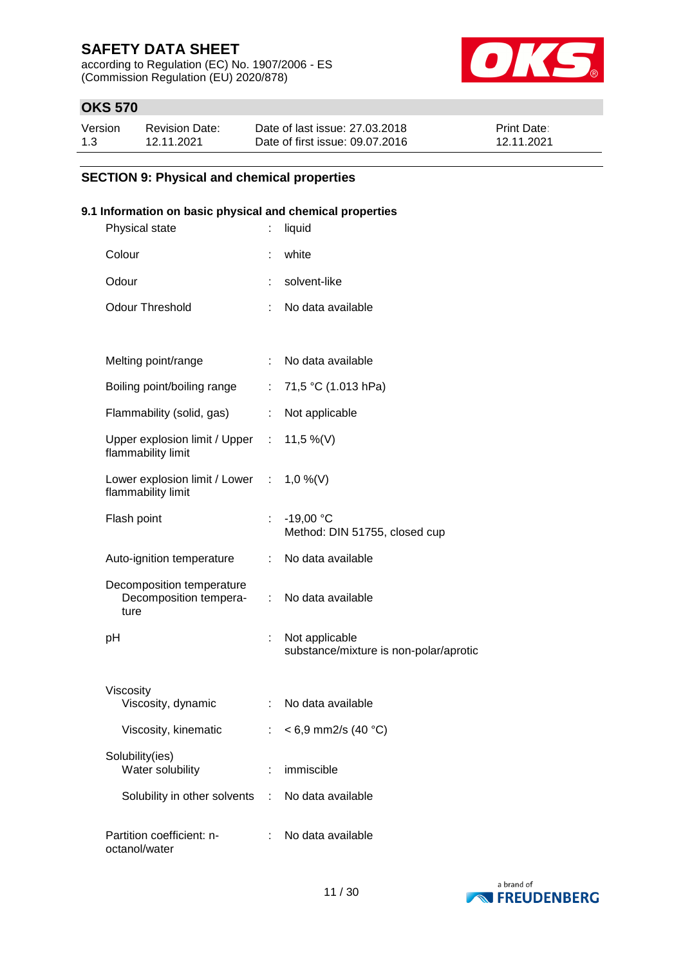according to Regulation (EC) No. 1907/2006 - ES (Commission Regulation (EU) 2020/878)



# **OKS 570**

| Version | <b>Revision Date:</b> | Date of last issue: 27,03,2018  | Print Date: |
|---------|-----------------------|---------------------------------|-------------|
| 1.3     | 12.11.2021            | Date of first issue: 09.07.2016 | 12.11.2021  |

### **SECTION 9: Physical and chemical properties**

### **9.1 Information on basic physical and chemical properties**

| Physical state                                                  |                           | liquid                                                   |
|-----------------------------------------------------------------|---------------------------|----------------------------------------------------------|
| Colour                                                          |                           | white                                                    |
| Odour                                                           | ÷                         | solvent-like                                             |
| <b>Odour Threshold</b>                                          | ÷                         | No data available                                        |
|                                                                 |                           |                                                          |
| Melting point/range                                             |                           | No data available                                        |
| Boiling point/boiling range                                     | ÷.                        | 71,5 °C (1.013 hPa)                                      |
| Flammability (solid, gas)                                       | t.                        | Not applicable                                           |
| Upper explosion limit / Upper : 11,5 %(V)<br>flammability limit |                           |                                                          |
| Lower explosion limit / Lower : 1,0 %(V)<br>flammability limit  |                           |                                                          |
| Flash point                                                     | t.                        | $-19,00 °C$<br>Method: DIN 51755, closed cup             |
| Auto-ignition temperature                                       | ÷                         | No data available                                        |
| Decomposition temperature<br>Decomposition tempera-<br>ture     |                           | : No data available                                      |
| рH                                                              | t,                        | Not applicable<br>substance/mixture is non-polar/aprotic |
| Viscosity<br>Viscosity, dynamic                                 | $\mathbb{R}^{\mathbb{Z}}$ | No data available                                        |
| Viscosity, kinematic                                            | ÷                         | $< 6.9$ mm2/s (40 °C)                                    |
| Solubility(ies)<br>Water solubility                             | ÷                         | immiscible                                               |
| Solubility in other solvents                                    | ÷                         | No data available                                        |
| Partition coefficient: n-<br>octanol/water                      |                           | No data available                                        |

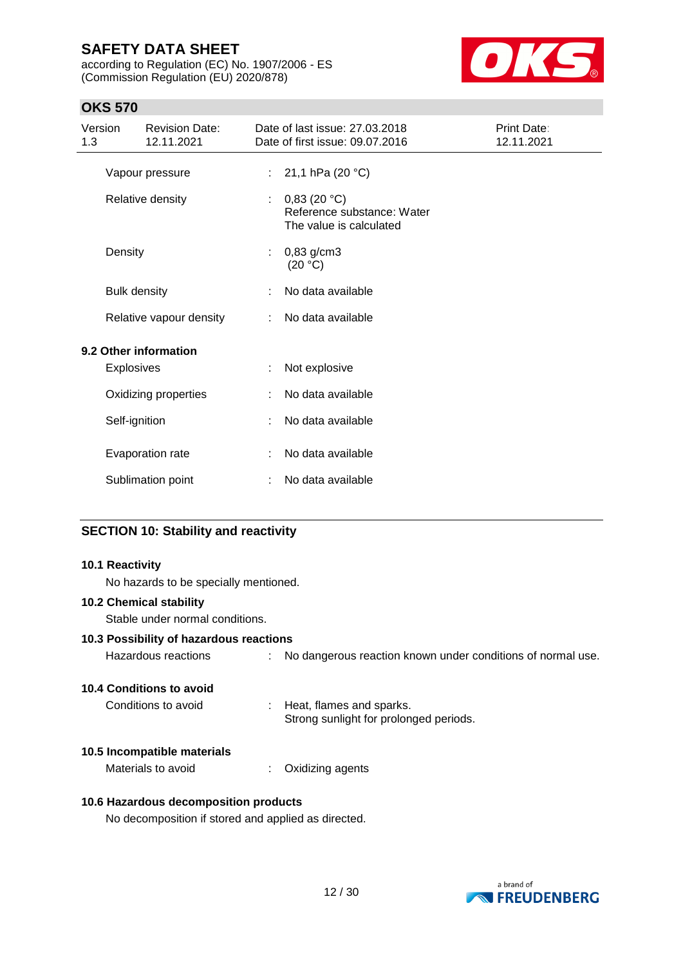according to Regulation (EC) No. 1907/2006 - ES (Commission Regulation (EU) 2020/878)



# **OKS 570**

| 1.3 | Version             | <b>Revision Date:</b><br>12.11.2021 |                | Date of last issue: 27,03,2018<br>Date of first issue: 09.07.2016    | Print Date:<br>12.11.2021 |
|-----|---------------------|-------------------------------------|----------------|----------------------------------------------------------------------|---------------------------|
|     |                     | Vapour pressure                     | $\mathbb{R}^n$ | 21,1 hPa (20 °C)                                                     |                           |
|     |                     | Relative density                    | ÷              | 0,83(20 °C)<br>Reference substance: Water<br>The value is calculated |                           |
|     | Density             |                                     | ÷              | $0,83$ g/cm3<br>(20 °C)                                              |                           |
|     | <b>Bulk density</b> |                                     |                | No data available                                                    |                           |
|     |                     | Relative vapour density             |                | No data available                                                    |                           |
|     |                     | 9.2 Other information               |                |                                                                      |                           |
|     | <b>Explosives</b>   |                                     |                | Not explosive                                                        |                           |
|     |                     | Oxidizing properties                |                | No data available                                                    |                           |
|     | Self-ignition       |                                     |                | No data available                                                    |                           |
|     |                     | Evaporation rate                    |                | No data available                                                    |                           |
|     |                     | Sublimation point                   |                | No data available                                                    |                           |

### **SECTION 10: Stability and reactivity**

# **10.1 Reactivity** No hazards to be specially mentioned. **10.2 Chemical stability** Stable under normal conditions. **10.3 Possibility of hazardous reactions** Hazardous reactions : No dangerous reaction known under conditions of normal use. **10.4 Conditions to avoid** Conditions to avoid : Heat, flames and sparks. Strong sunlight for prolonged periods. **10.5 Incompatible materials** Materials to avoid : Oxidizing agents **10.6 Hazardous decomposition products** No decomposition if stored and applied as directed.

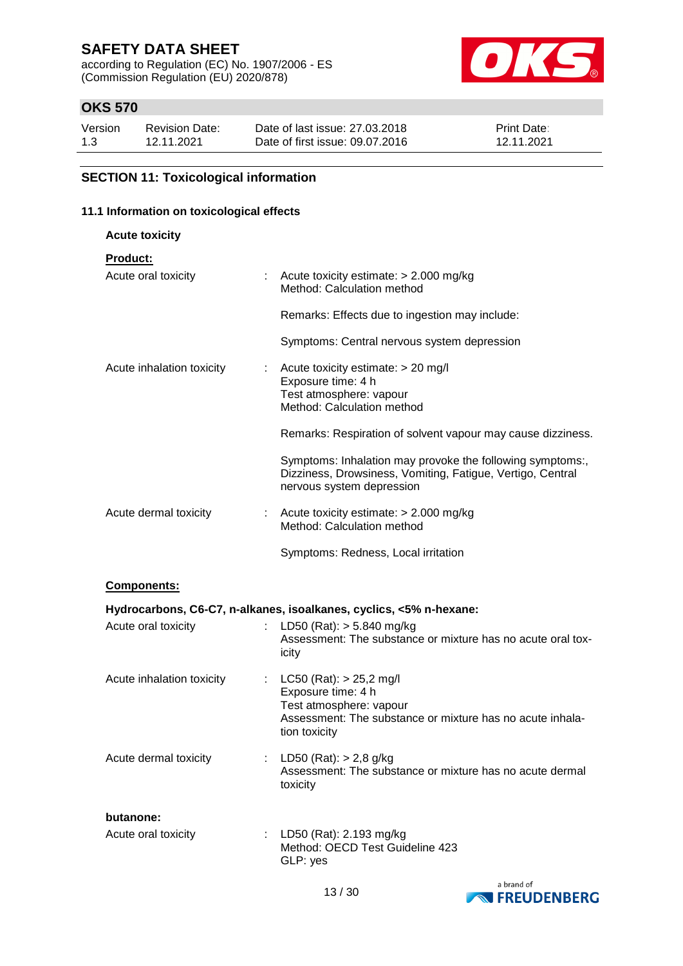according to Regulation (EC) No. 1907/2006 - ES (Commission Regulation (EU) 2020/878)



# **OKS 570**

| Version | <b>Revision Date:</b> | Date of last issue: 27,03,2018  | <b>Print Date:</b> |
|---------|-----------------------|---------------------------------|--------------------|
| 1.3     | 12.11.2021            | Date of first issue: 09.07.2016 | 12.11.2021         |

# **SECTION 11: Toxicological information**

### **11.1 Information on toxicological effects**

| <b>Acute toxicity</b>     |                                                                                                                                                            |
|---------------------------|------------------------------------------------------------------------------------------------------------------------------------------------------------|
| <b>Product:</b>           |                                                                                                                                                            |
| Acute oral toxicity       | : Acute toxicity estimate: $> 2.000$ mg/kg<br>Method: Calculation method                                                                                   |
|                           | Remarks: Effects due to ingestion may include:                                                                                                             |
|                           | Symptoms: Central nervous system depression                                                                                                                |
| Acute inhalation toxicity | Acute toxicity estimate: > 20 mg/l<br>Exposure time: 4 h<br>Test atmosphere: vapour<br>Method: Calculation method                                          |
|                           | Remarks: Respiration of solvent vapour may cause dizziness.                                                                                                |
|                           | Symptoms: Inhalation may provoke the following symptoms:,<br>Dizziness, Drowsiness, Vomiting, Fatigue, Vertigo, Central<br>nervous system depression       |
| Acute dermal toxicity     | : Acute toxicity estimate: $> 2.000$ mg/kg<br>Method: Calculation method                                                                                   |
|                           | Symptoms: Redness, Local irritation                                                                                                                        |
| <b>Components:</b>        |                                                                                                                                                            |
|                           | Hydrocarbons, C6-C7, n-alkanes, isoalkanes, cyclics, <5% n-hexane:                                                                                         |
| Acute oral toxicity       | LD50 (Rat): > 5.840 mg/kg<br>Assessment: The substance or mixture has no acute oral tox-<br>icity                                                          |
| Acute inhalation toxicity | : LC50 (Rat): $> 25,2$ mg/l<br>Exposure time: 4 h<br>Test atmosphere: vapour<br>Assessment: The substance or mixture has no acute inhala-<br>tion toxicity |
| Acute dermal toxicity     | : LD50 (Rat): $> 2,8$ g/kg<br>Assessment: The substance or mixture has no acute dermal<br>toxicity                                                         |
| butanone:                 |                                                                                                                                                            |
| Acute oral toxicity       | LD50 (Rat): 2.193 mg/kg<br>Method: OECD Test Guideline 423<br>GLP: yes                                                                                     |

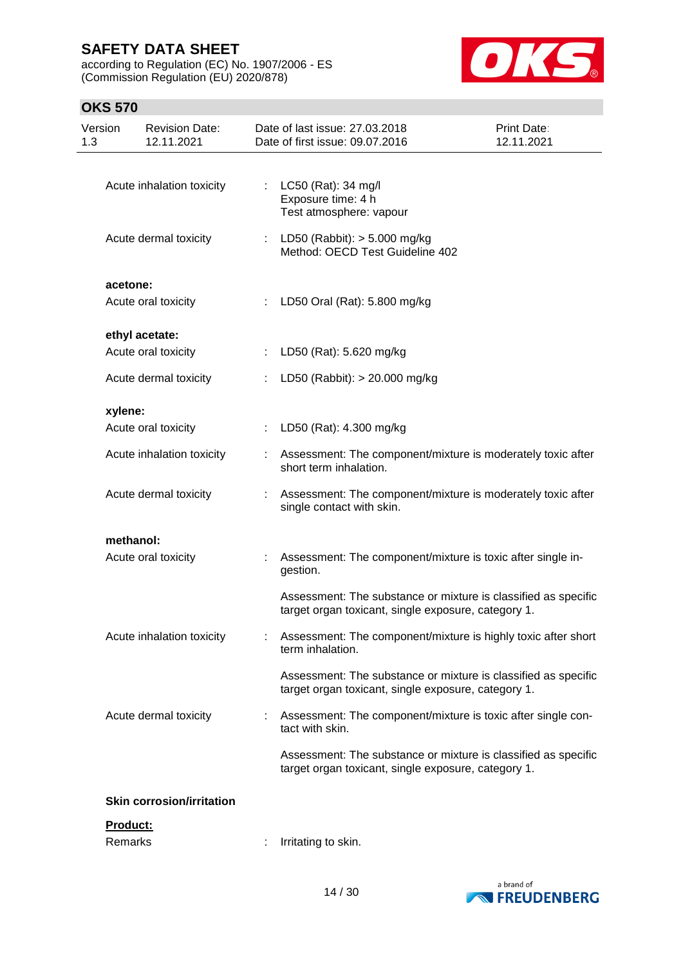according to Regulation (EC) No. 1907/2006 - ES (Commission Regulation (EU) 2020/878)



# **OKS 570**

| Version<br>1.3  | <b>Revision Date:</b><br>12.11.2021   |    | Date of last issue: 27.03.2018<br>Date of first issue: 09.07.2016                                                     | Print Date:<br>12.11.2021 |
|-----------------|---------------------------------------|----|-----------------------------------------------------------------------------------------------------------------------|---------------------------|
|                 | Acute inhalation toxicity             |    | : LC50 (Rat): 34 mg/l<br>Exposure time: 4 h<br>Test atmosphere: vapour                                                |                           |
|                 | Acute dermal toxicity                 |    | LD50 (Rabbit): > 5.000 mg/kg<br>Method: OECD Test Guideline 402                                                       |                           |
| acetone:        | Acute oral toxicity                   |    | : LD50 Oral (Rat): 5.800 mg/kg                                                                                        |                           |
|                 | ethyl acetate:<br>Acute oral toxicity | ÷  | LD50 (Rat): 5.620 mg/kg                                                                                               |                           |
|                 | Acute dermal toxicity                 | t. | LD50 (Rabbit): > 20.000 mg/kg                                                                                         |                           |
| xylene:         | Acute oral toxicity                   |    |                                                                                                                       |                           |
|                 |                                       | ÷. | LD50 (Rat): 4.300 mg/kg                                                                                               |                           |
|                 | Acute inhalation toxicity             |    | Assessment: The component/mixture is moderately toxic after<br>short term inhalation.                                 |                           |
|                 | Acute dermal toxicity                 |    | Assessment: The component/mixture is moderately toxic after<br>single contact with skin.                              |                           |
|                 | methanol:                             |    |                                                                                                                       |                           |
|                 | Acute oral toxicity                   |    | Assessment: The component/mixture is toxic after single in-<br>gestion.                                               |                           |
|                 |                                       |    | Assessment: The substance or mixture is classified as specific<br>target organ toxicant, single exposure, category 1. |                           |
|                 | Acute inhalation toxicity             |    | Assessment: The component/mixture is highly toxic after short<br>term inhalation.                                     |                           |
|                 |                                       |    | Assessment: The substance or mixture is classified as specific<br>target organ toxicant, single exposure, category 1. |                           |
|                 | Acute dermal toxicity                 |    | Assessment: The component/mixture is toxic after single con-<br>tact with skin.                                       |                           |
|                 |                                       |    | Assessment: The substance or mixture is classified as specific<br>target organ toxicant, single exposure, category 1. |                           |
|                 | <b>Skin corrosion/irritation</b>      |    |                                                                                                                       |                           |
| <u>Product:</u> |                                       |    |                                                                                                                       |                           |

Remarks : Irritating to skin.

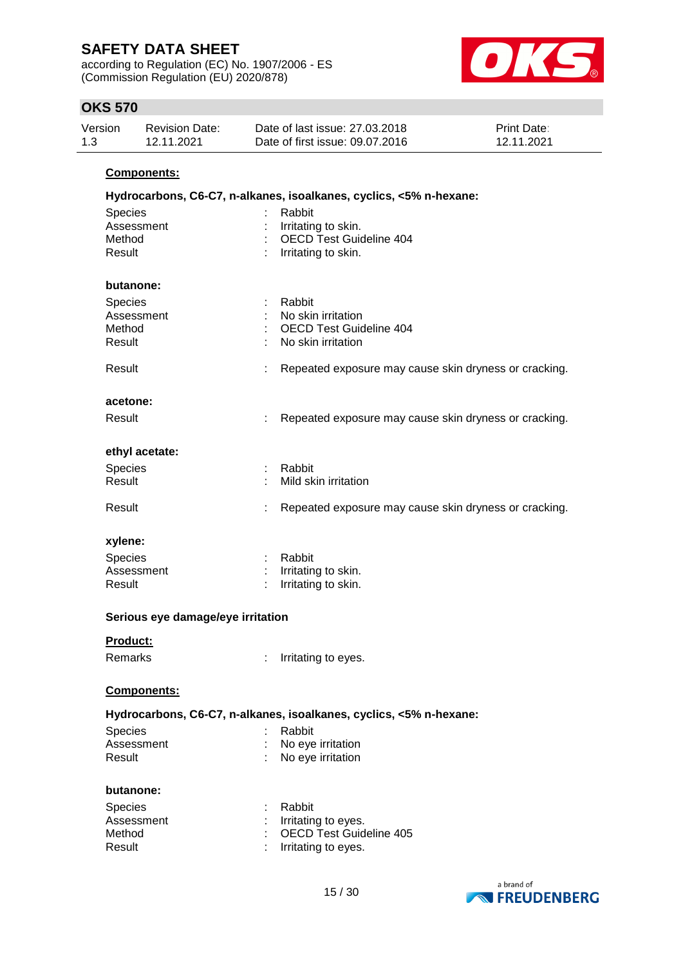according to Regulation (EC) No. 1907/2006 - ES (Commission Regulation (EU) 2020/878)



| <b>OKS 570</b>  |                                     |                                                                    |                                                       |
|-----------------|-------------------------------------|--------------------------------------------------------------------|-------------------------------------------------------|
| Version<br>1.3  | <b>Revision Date:</b><br>12.11.2021 | Date of last issue: 27.03.2018<br>Date of first issue: 09.07.2016  | <b>Print Date:</b><br>12.11.2021                      |
|                 | <b>Components:</b>                  |                                                                    |                                                       |
|                 |                                     | Hydrocarbons, C6-C7, n-alkanes, isoalkanes, cyclics, <5% n-hexane: |                                                       |
| Species         |                                     | Rabbit                                                             |                                                       |
|                 | Assessment                          | Irritating to skin.                                                |                                                       |
| Method          |                                     | <b>OECD Test Guideline 404</b>                                     |                                                       |
| Result          |                                     | Irritating to skin.                                                |                                                       |
|                 | butanone:                           |                                                                    |                                                       |
| Species         |                                     | Rabbit                                                             |                                                       |
|                 | Assessment                          | No skin irritation                                                 |                                                       |
| Method          |                                     | <b>OECD Test Guideline 404</b>                                     |                                                       |
| Result          |                                     | No skin irritation                                                 |                                                       |
| Result          |                                     |                                                                    | Repeated exposure may cause skin dryness or cracking. |
| acetone:        |                                     |                                                                    |                                                       |
| Result          |                                     |                                                                    | Repeated exposure may cause skin dryness or cracking. |
|                 | ethyl acetate:                      |                                                                    |                                                       |
| <b>Species</b>  |                                     | Rabbit                                                             |                                                       |
| Result          |                                     | Mild skin irritation                                               |                                                       |
| Result          |                                     |                                                                    | Repeated exposure may cause skin dryness or cracking. |
| xylene:         |                                     |                                                                    |                                                       |
| <b>Species</b>  |                                     | Rabbit                                                             |                                                       |
|                 | Assessment                          | Irritating to skin.                                                |                                                       |
| Result          |                                     | Irritating to skin.                                                |                                                       |
|                 | Serious eye damage/eye irritation   |                                                                    |                                                       |
| <b>Product:</b> |                                     |                                                                    |                                                       |
| Remarks         |                                     | Irritating to eyes.                                                |                                                       |
|                 | Components:                         |                                                                    |                                                       |
|                 |                                     | Hydrocarbons, C6-C7, n-alkanes, isoalkanes, cyclics, <5% n-hexane: |                                                       |
| Species         |                                     | Rabbit                                                             |                                                       |
|                 | Assessment                          | No eye irritation                                                  |                                                       |
| Result          |                                     | No eye irritation                                                  |                                                       |

#### **butanone:**

| <b>Species</b> | : Rabbit                  |
|----------------|---------------------------|
| Assessment     | $:$ Irritating to eyes.   |
| Method         | : OECD Test Guideline 405 |
| Result         | : Irritating to eyes.     |

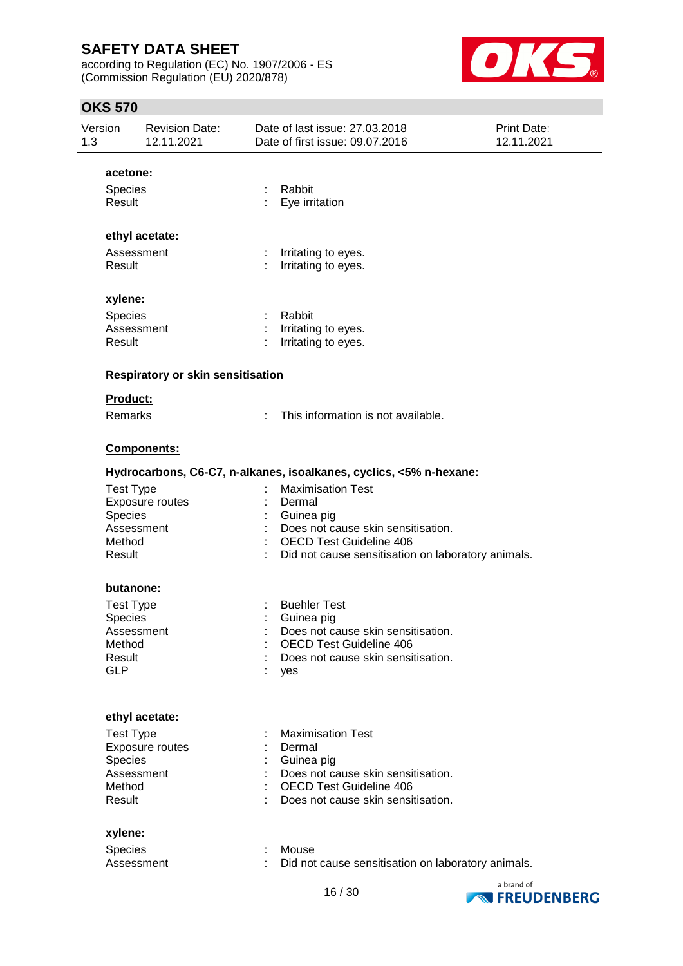according to Regulation (EC) No. 1907/2006 - ES (Commission Regulation (EU) 2020/878)



| Version<br>1.3       | <b>Revision Date:</b><br>12.11.2021      | Date of last issue: 27.03.2018<br>Date of first issue: 09.07.2016  | Print Date:<br>12.11.2021 |
|----------------------|------------------------------------------|--------------------------------------------------------------------|---------------------------|
| acetone:             |                                          |                                                                    |                           |
| <b>Species</b>       |                                          | Rabbit                                                             |                           |
| Result               |                                          | Eye irritation                                                     |                           |
|                      | ethyl acetate:                           |                                                                    |                           |
|                      | Assessment                               | Irritating to eyes.                                                |                           |
| Result               |                                          | Irritating to eyes.                                                |                           |
| xylene:              |                                          |                                                                    |                           |
| <b>Species</b>       |                                          | Rabbit                                                             |                           |
|                      | Assessment                               | Irritating to eyes.                                                |                           |
| Result               |                                          | Irritating to eyes.                                                |                           |
|                      | <b>Respiratory or skin sensitisation</b> |                                                                    |                           |
| <b>Product:</b>      |                                          |                                                                    |                           |
| Remarks              |                                          | This information is not available.                                 |                           |
|                      | Components:                              |                                                                    |                           |
|                      |                                          | Hydrocarbons, C6-C7, n-alkanes, isoalkanes, cyclics, <5% n-hexane: |                           |
| <b>Test Type</b>     |                                          | <b>Maximisation Test</b>                                           |                           |
|                      | Exposure routes                          | Dermal                                                             |                           |
| Species              |                                          | Guinea pig                                                         |                           |
|                      | Assessment                               | Does not cause skin sensitisation.                                 |                           |
| Method               |                                          | <b>OECD Test Guideline 406</b>                                     |                           |
| Result               |                                          | Did not cause sensitisation on laboratory animals.                 |                           |
|                      | butanone:                                |                                                                    |                           |
| <b>Test Type</b>     |                                          | <b>Buehler Test</b>                                                |                           |
| Species              |                                          | Guinea pig                                                         |                           |
|                      | Assessment                               | Does not cause skin sensitisation.                                 |                           |
| Method               |                                          | <b>OECD Test Guideline 406</b>                                     |                           |
| Result<br><b>GLP</b> |                                          | Does not cause skin sensitisation.                                 |                           |
|                      |                                          | yes                                                                |                           |
|                      | ethyl acetate:                           |                                                                    |                           |
| <b>Test Type</b>     |                                          | <b>Maximisation Test</b>                                           |                           |
|                      | <b>Exposure routes</b>                   | Dermal                                                             |                           |
| Species              |                                          | Guinea pig                                                         |                           |
|                      | Assessment                               | Does not cause skin sensitisation.                                 |                           |
| Method               |                                          | <b>OECD Test Guideline 406</b>                                     |                           |
| Result               |                                          | Does not cause skin sensitisation.                                 |                           |
| xylene:              |                                          |                                                                    |                           |
| Species              |                                          | Mouse                                                              |                           |
|                      | Assessment                               | Did not cause sensitisation on laboratory animals.                 |                           |
|                      |                                          |                                                                    |                           |
|                      |                                          |                                                                    | a brand of                |



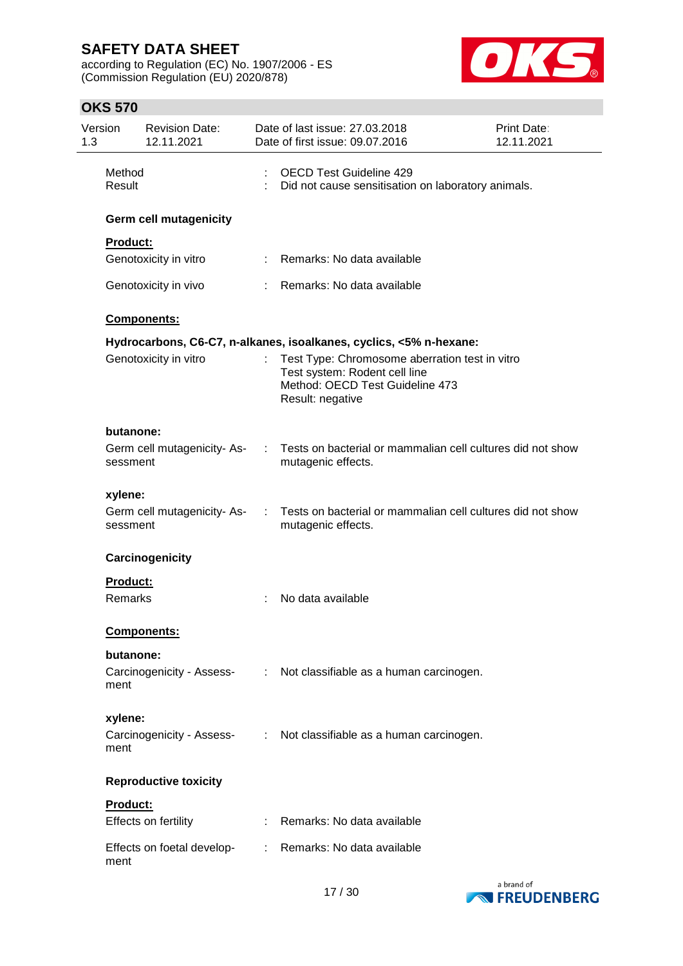according to Regulation (EC) No. 1907/2006 - ES (Commission Regulation (EU) 2020/878)



| Version<br>1.3 |                  | <b>Revision Date:</b><br>12.11.2021 |    | Date of last issue: 27.03.2018<br><b>Print Date:</b><br>Date of first issue: 09.07.2016<br>12.11.2021                                  |  |  |
|----------------|------------------|-------------------------------------|----|----------------------------------------------------------------------------------------------------------------------------------------|--|--|
|                | Method<br>Result |                                     |    | <b>OECD Test Guideline 429</b><br>Did not cause sensitisation on laboratory animals.                                                   |  |  |
|                |                  | <b>Germ cell mutagenicity</b>       |    |                                                                                                                                        |  |  |
|                | <b>Product:</b>  |                                     |    |                                                                                                                                        |  |  |
|                |                  | Genotoxicity in vitro               | ÷. | Remarks: No data available                                                                                                             |  |  |
|                |                  | Genotoxicity in vivo                |    | Remarks: No data available                                                                                                             |  |  |
|                |                  | Components:                         |    |                                                                                                                                        |  |  |
|                |                  |                                     |    | Hydrocarbons, C6-C7, n-alkanes, isoalkanes, cyclics, <5% n-hexane:                                                                     |  |  |
|                |                  | Genotoxicity in vitro               |    | Test Type: Chromosome aberration test in vitro<br>Test system: Rodent cell line<br>Method: OECD Test Guideline 473<br>Result: negative |  |  |
|                | butanone:        |                                     |    |                                                                                                                                        |  |  |
|                | sessment         | Germ cell mutagenicity-As-          | ÷  | Tests on bacterial or mammalian cell cultures did not show<br>mutagenic effects.                                                       |  |  |
|                | xylene:          |                                     |    |                                                                                                                                        |  |  |
|                | sessment         | Germ cell mutagenicity-As-          | ÷  | Tests on bacterial or mammalian cell cultures did not show<br>mutagenic effects.                                                       |  |  |
|                |                  | Carcinogenicity                     |    |                                                                                                                                        |  |  |
|                | Product:         |                                     |    |                                                                                                                                        |  |  |
|                | Remarks          |                                     |    | No data available                                                                                                                      |  |  |
|                |                  | Components:                         |    |                                                                                                                                        |  |  |
|                | butanone:        |                                     |    |                                                                                                                                        |  |  |
|                | ment             |                                     |    | Carcinogenicity - Assess- : Not classifiable as a human carcinogen.                                                                    |  |  |
|                | xylene:          |                                     |    |                                                                                                                                        |  |  |
|                | ment             |                                     |    | Carcinogenicity - Assess- : Not classifiable as a human carcinogen.                                                                    |  |  |
|                |                  | <b>Reproductive toxicity</b>        |    |                                                                                                                                        |  |  |
|                | Product:         |                                     |    |                                                                                                                                        |  |  |
|                |                  | Effects on fertility                |    | : Remarks: No data available                                                                                                           |  |  |
|                | ment             | Effects on foetal develop-          |    | : Remarks: No data available                                                                                                           |  |  |

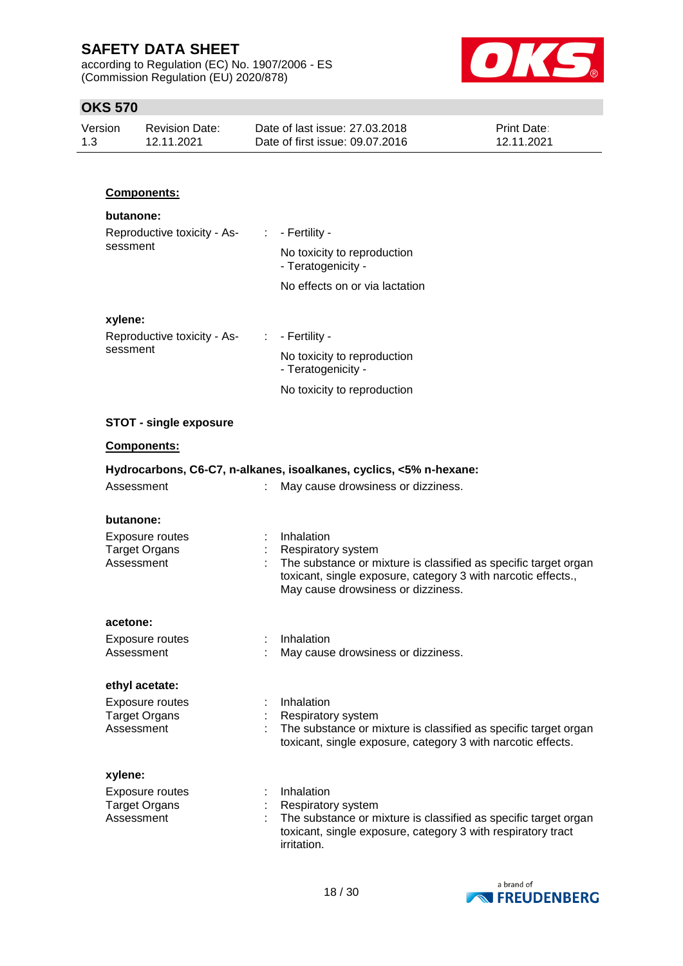according to Regulation (EC) No. 1907/2006 - ES (Commission Regulation (EU) 2020/878)



### **OKS 570**

| Version | Revision Date: | Date of last issue: 27,03,2018  | <b>Print Date:</b> |
|---------|----------------|---------------------------------|--------------------|
| 1.3     | 12.11.2021     | Date of first issue: 09.07.2016 | 12.11.2021         |

### **Components:**

### **butanone:**

| Reproductive toxicity - As- |  | $\therefore$ - Fertility -                        |  |  |
|-----------------------------|--|---------------------------------------------------|--|--|
| sessment                    |  | No toxicity to reproduction<br>- Teratogenicity - |  |  |
|                             |  | No effects on or via lactation                    |  |  |
| xylene:                     |  |                                                   |  |  |
| Reproductive toxicity - As- |  | : - Fertility -                                   |  |  |
| sessment                    |  | Milanda a shekarar ta kuwa wa shekara wa          |  |  |

# No toxicity to reproduction

- Teratogenicity -

No toxicity to reproduction

#### **STOT - single exposure**

### **Components:**

| Hydrocarbons, C6-C7, n-alkanes, isoalkanes, cyclics, <5% n-hexane: |  |                                                                                                                                                                                                            |  |  |
|--------------------------------------------------------------------|--|------------------------------------------------------------------------------------------------------------------------------------------------------------------------------------------------------------|--|--|
| Assessment                                                         |  | May cause drowsiness or dizziness.                                                                                                                                                                         |  |  |
| butanone:                                                          |  |                                                                                                                                                                                                            |  |  |
| Exposure routes<br><b>Target Organs</b><br>Assessment              |  | Inhalation<br>Respiratory system<br>The substance or mixture is classified as specific target organ<br>toxicant, single exposure, category 3 with narcotic effects.,<br>May cause drowsiness or dizziness. |  |  |
| acetone:                                                           |  |                                                                                                                                                                                                            |  |  |
| Exposure routes<br>Assessment                                      |  | Inhalation<br>May cause drowsiness or dizziness.                                                                                                                                                           |  |  |
| ethyl acetate:                                                     |  |                                                                                                                                                                                                            |  |  |
| Exposure routes<br><b>Target Organs</b><br>Assessment              |  | Inhalation<br>Respiratory system<br>The substance or mixture is classified as specific target organ<br>toxicant, single exposure, category 3 with narcotic effects.                                        |  |  |
| xylene:                                                            |  |                                                                                                                                                                                                            |  |  |
| Exposure routes<br><b>Target Organs</b><br>Assessment              |  | Inhalation<br>Respiratory system<br>The substance or mixture is classified as specific target organ<br>toxicant, single exposure, category 3 with respiratory tract<br>irritation.                         |  |  |

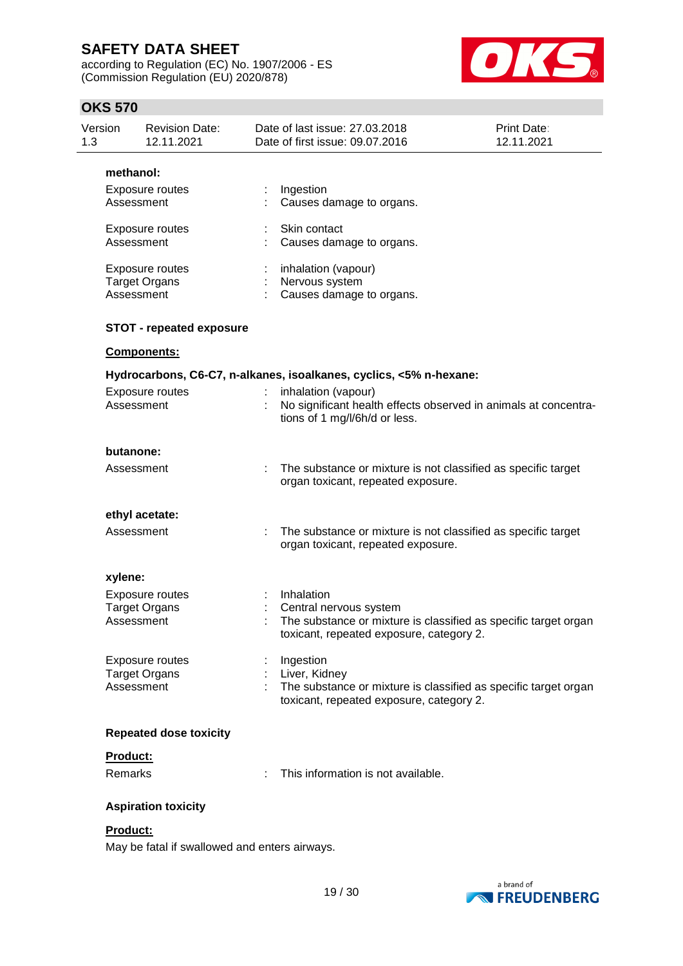according to Regulation (EC) No. 1907/2006 - ES (Commission Regulation (EU) 2020/878)



### **OKS 570**

| Version<br>1.3 | <b>Revision Date:</b><br>12.11.2021                   | Date of last issue: 27.03.2018<br>Date of first issue: 09.07.2016                                                                                   | Print Date:<br>12.11.2021 |
|----------------|-------------------------------------------------------|-----------------------------------------------------------------------------------------------------------------------------------------------------|---------------------------|
|                | methanol:                                             |                                                                                                                                                     |                           |
|                | Exposure routes<br>Assessment                         | Ingestion<br>Causes damage to organs.                                                                                                               |                           |
|                | Exposure routes<br>Assessment                         | Skin contact<br>Causes damage to organs.                                                                                                            |                           |
|                | Exposure routes<br><b>Target Organs</b><br>Assessment | inhalation (vapour)<br>Nervous system<br>Causes damage to organs.                                                                                   |                           |
|                | <b>STOT - repeated exposure</b>                       |                                                                                                                                                     |                           |
|                | Components:                                           |                                                                                                                                                     |                           |
|                |                                                       | Hydrocarbons, C6-C7, n-alkanes, isoalkanes, cyclics, <5% n-hexane:                                                                                  |                           |
|                | <b>Exposure routes</b><br>Assessment                  | inhalation (vapour)<br>No significant health effects observed in animals at concentra-<br>tions of 1 mg/l/6h/d or less.                             |                           |
|                | butanone:                                             |                                                                                                                                                     |                           |
|                | Assessment                                            | : The substance or mixture is not classified as specific target<br>organ toxicant, repeated exposure.                                               |                           |
|                | ethyl acetate:                                        |                                                                                                                                                     |                           |
|                | Assessment                                            | The substance or mixture is not classified as specific target<br>organ toxicant, repeated exposure.                                                 |                           |
|                | xylene:                                               |                                                                                                                                                     |                           |
|                | Exposure routes<br><b>Target Organs</b><br>Assessment | Inhalation<br>Central nervous system<br>The substance or mixture is classified as specific target organ<br>toxicant, repeated exposure, category 2. |                           |
|                | Exposure routes<br><b>Target Organs</b><br>Assessment | Ingestion<br>Liver, Kidney<br>The substance or mixture is classified as specific target organ<br>toxicant, repeated exposure, category 2.           |                           |
|                | <b>Repeated dose toxicity</b>                         |                                                                                                                                                     |                           |
|                | Product:                                              |                                                                                                                                                     |                           |
|                | Remarks                                               | This information is not available.                                                                                                                  |                           |
|                | <b>Aspiration toxicity</b>                            |                                                                                                                                                     |                           |
|                | Product:                                              |                                                                                                                                                     |                           |

May be fatal if swallowed and enters airways.

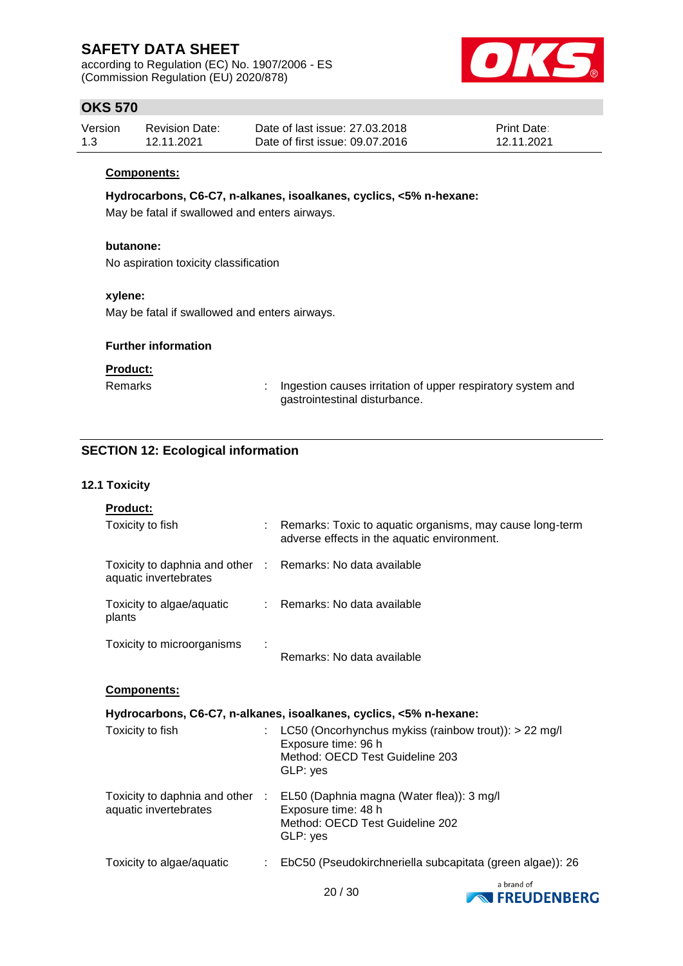according to Regulation (EC) No. 1907/2006 - ES (Commission Regulation (EU) 2020/878)



### **OKS 570**

| Version | <b>Revision Date:</b> | Date of last issue: 27,03,2018  | <b>Print Date:</b> |
|---------|-----------------------|---------------------------------|--------------------|
| 1.3     | 12.11.2021            | Date of first issue: 09.07.2016 | 12.11.2021         |

#### **Components:**

**Hydrocarbons, C6-C7, n-alkanes, isoalkanes, cyclics, <5% n-hexane:**

May be fatal if swallowed and enters airways.

### **butanone:**

No aspiration toxicity classification

### **xylene:**

May be fatal if swallowed and enters airways.

### **Further information**

#### **Product:**

Remarks : Ingestion causes irritation of upper respiratory system and gastrointestinal disturbance.

### **SECTION 12: Ecological information**

#### **12.1 Toxicity**

| adverse effects in the aquatic environment.                                                                                                     |                                                                                                                                                          |
|-------------------------------------------------------------------------------------------------------------------------------------------------|----------------------------------------------------------------------------------------------------------------------------------------------------------|
|                                                                                                                                                 |                                                                                                                                                          |
|                                                                                                                                                 |                                                                                                                                                          |
| Remarks: No data available                                                                                                                      |                                                                                                                                                          |
|                                                                                                                                                 |                                                                                                                                                          |
|                                                                                                                                                 |                                                                                                                                                          |
| Hydrocarbons, C6-C7, n-alkanes, isoalkanes, cyclics, <5% n-hexane:                                                                              |                                                                                                                                                          |
| : LC50 (Oncorhynchus mykiss (rainbow trout)): $> 22$ mg/l<br>Exposure time: 96 h<br>Method: OECD Test Guideline 203<br>GLP: yes                 |                                                                                                                                                          |
| Toxicity to daphnia and other : EL50 (Daphnia magna (Water flea)): 3 mg/l<br>Exposure time: 48 h<br>Method: OECD Test Guideline 202<br>GLP: yes |                                                                                                                                                          |
|                                                                                                                                                 | : Remarks: Toxic to aquatic organisms, may cause long-term<br>Toxicity to daphnia and other : Remarks: No data available<br>: Remarks: No data available |

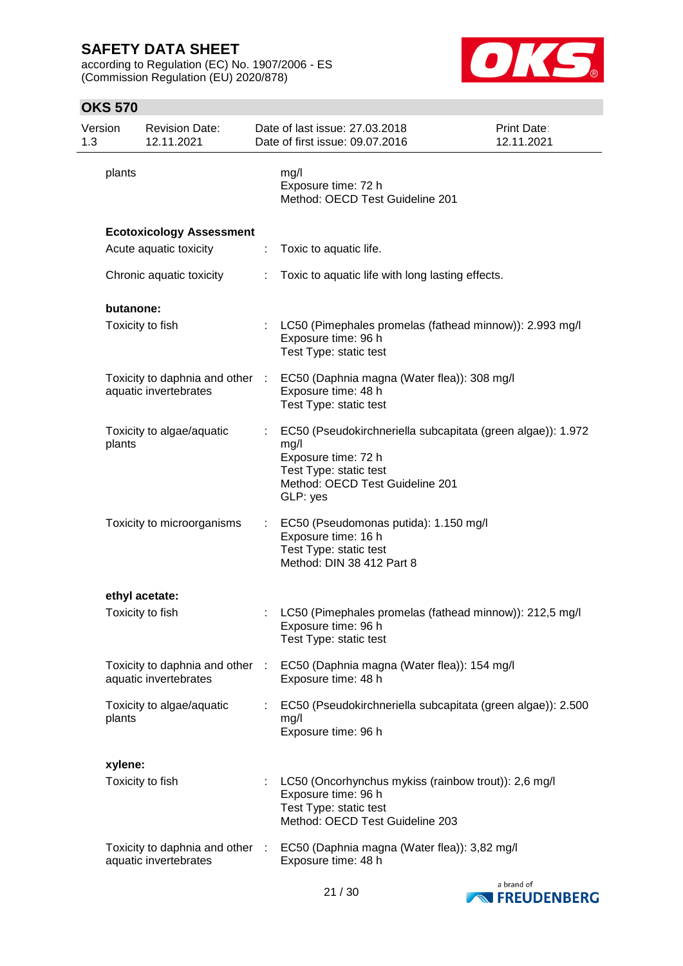according to Regulation (EC) No. 1907/2006 - ES (Commission Regulation (EU) 2020/878)



| Version<br>1.3 |           | <b>Revision Date:</b><br>12.11.2021                      |    | Date of last issue: 27.03.2018<br>Date of first issue: 09.07.2016                                                                                                   | <b>Print Date:</b><br>12.11.2021 |
|----------------|-----------|----------------------------------------------------------|----|---------------------------------------------------------------------------------------------------------------------------------------------------------------------|----------------------------------|
|                | plants    |                                                          |    | mg/l<br>Exposure time: 72 h<br>Method: OECD Test Guideline 201                                                                                                      |                                  |
|                |           | <b>Ecotoxicology Assessment</b>                          |    |                                                                                                                                                                     |                                  |
|                |           | Acute aquatic toxicity                                   | ÷  | Toxic to aquatic life.                                                                                                                                              |                                  |
|                |           | Chronic aquatic toxicity                                 | ÷. | Toxic to aquatic life with long lasting effects.                                                                                                                    |                                  |
|                | butanone: |                                                          |    |                                                                                                                                                                     |                                  |
|                |           | Toxicity to fish                                         |    | LC50 (Pimephales promelas (fathead minnow)): 2.993 mg/l<br>Exposure time: 96 h<br>Test Type: static test                                                            |                                  |
|                |           | Toxicity to daphnia and other :<br>aquatic invertebrates |    | EC50 (Daphnia magna (Water flea)): 308 mg/l<br>Exposure time: 48 h<br>Test Type: static test                                                                        |                                  |
|                | plants    | Toxicity to algae/aquatic                                | ÷. | EC50 (Pseudokirchneriella subcapitata (green algae)): 1.972<br>mg/l<br>Exposure time: 72 h<br>Test Type: static test<br>Method: OECD Test Guideline 201<br>GLP: yes |                                  |
|                |           | Toxicity to microorganisms                               |    | : EC50 (Pseudomonas putida): 1.150 mg/l<br>Exposure time: 16 h<br>Test Type: static test<br>Method: DIN 38 412 Part 8                                               |                                  |
|                |           | ethyl acetate:                                           |    |                                                                                                                                                                     |                                  |
|                |           | Toxicity to fish                                         |    | LC50 (Pimephales promelas (fathead minnow)): 212,5 mg/l<br>Exposure time: 96 h<br>Test Type: static test                                                            |                                  |
|                |           | Toxicity to daphnia and other :<br>aquatic invertebrates |    | EC50 (Daphnia magna (Water flea)): 154 mg/l<br>Exposure time: 48 h                                                                                                  |                                  |
|                | plants    | Toxicity to algae/aquatic                                |    | EC50 (Pseudokirchneriella subcapitata (green algae)): 2.500<br>mg/l<br>Exposure time: 96 h                                                                          |                                  |
|                | xylene:   |                                                          |    |                                                                                                                                                                     |                                  |
|                |           | Toxicity to fish                                         |    | LC50 (Oncorhynchus mykiss (rainbow trout)): 2,6 mg/l<br>Exposure time: 96 h<br>Test Type: static test<br>Method: OECD Test Guideline 203                            |                                  |
|                |           | Toxicity to daphnia and other :<br>aquatic invertebrates |    | EC50 (Daphnia magna (Water flea)): 3,82 mg/l<br>Exposure time: 48 h                                                                                                 |                                  |

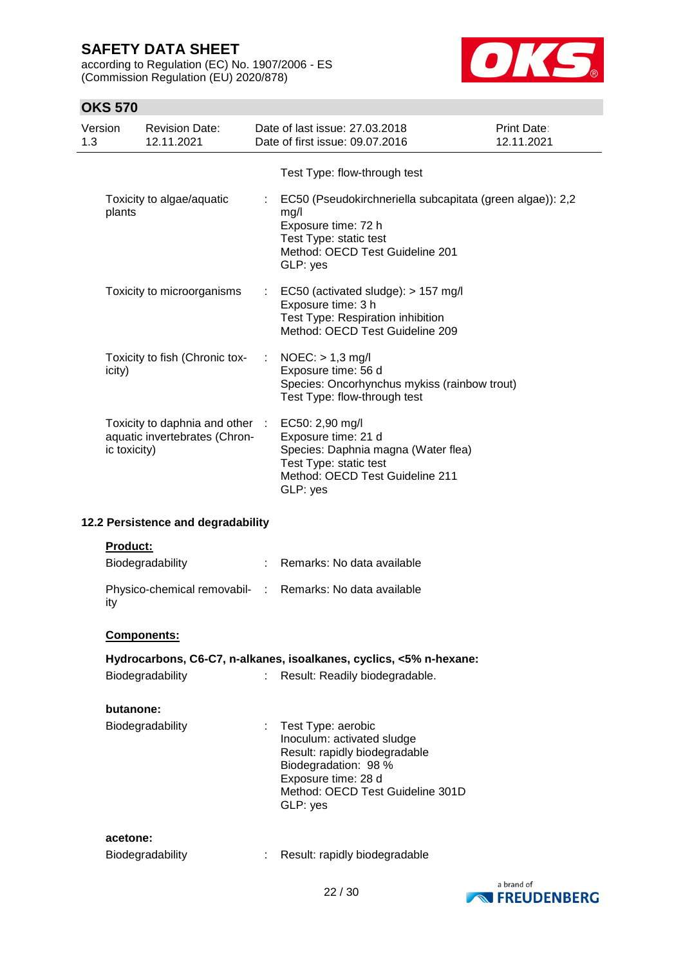according to Regulation (EC) No. 1907/2006 - ES (Commission Regulation (EU) 2020/878)



| Version<br>1.3 |                 | <b>Revision Date:</b><br>12.11.2021                              | Date of last issue: 27.03.2018<br>Date of first issue: 09.07.2016                                                                                                                | Print Date:<br>12.11.2021 |
|----------------|-----------------|------------------------------------------------------------------|----------------------------------------------------------------------------------------------------------------------------------------------------------------------------------|---------------------------|
|                |                 |                                                                  | Test Type: flow-through test                                                                                                                                                     |                           |
|                | plants          | Toxicity to algae/aquatic                                        | EC50 (Pseudokirchneriella subcapitata (green algae)): 2,2<br>mg/l<br>Exposure time: 72 h<br>Test Type: static test<br>Method: OECD Test Guideline 201<br>GLP: yes                |                           |
|                |                 | Toxicity to microorganisms                                       | EC50 (activated sludge): > 157 mg/l<br>Exposure time: 3 h<br>Test Type: Respiration inhibition<br>Method: OECD Test Guideline 209                                                |                           |
|                | icity)          | Toxicity to fish (Chronic tox-                                   | $NOEC:$ > 1,3 mg/l<br>Exposure time: 56 d<br>Species: Oncorhynchus mykiss (rainbow trout)<br>Test Type: flow-through test                                                        |                           |
|                | ic toxicity)    | Toxicity to daphnia and other :<br>aquatic invertebrates (Chron- | EC50: 2,90 mg/l<br>Exposure time: 21 d<br>Species: Daphnia magna (Water flea)<br>Test Type: static test<br>Method: OECD Test Guideline 211<br>GLP: yes                           |                           |
|                |                 | 12.2 Persistence and degradability                               |                                                                                                                                                                                  |                           |
|                | <b>Product:</b> | Biodegradability                                                 | : Remarks: No data available                                                                                                                                                     |                           |
| ity            |                 |                                                                  | Physico-chemical removabil- : Remarks: No data available                                                                                                                         |                           |
|                |                 | Components:                                                      |                                                                                                                                                                                  |                           |
|                |                 |                                                                  | Hydrocarbons, C6-C7, n-alkanes, isoalkanes, cyclics, <5% n-hexane:                                                                                                               |                           |
|                |                 | Biodegradability                                                 | Result: Readily biodegradable.                                                                                                                                                   |                           |
|                | butanone:       |                                                                  |                                                                                                                                                                                  |                           |
|                |                 | Biodegradability                                                 | Test Type: aerobic<br>Inoculum: activated sludge<br>Result: rapidly biodegradable<br>Biodegradation: 98 %<br>Exposure time: 28 d<br>Method: OECD Test Guideline 301D<br>GLP: yes |                           |
|                | acetone:        | Biodegradability                                                 | Result: rapidly biodegradable                                                                                                                                                    |                           |

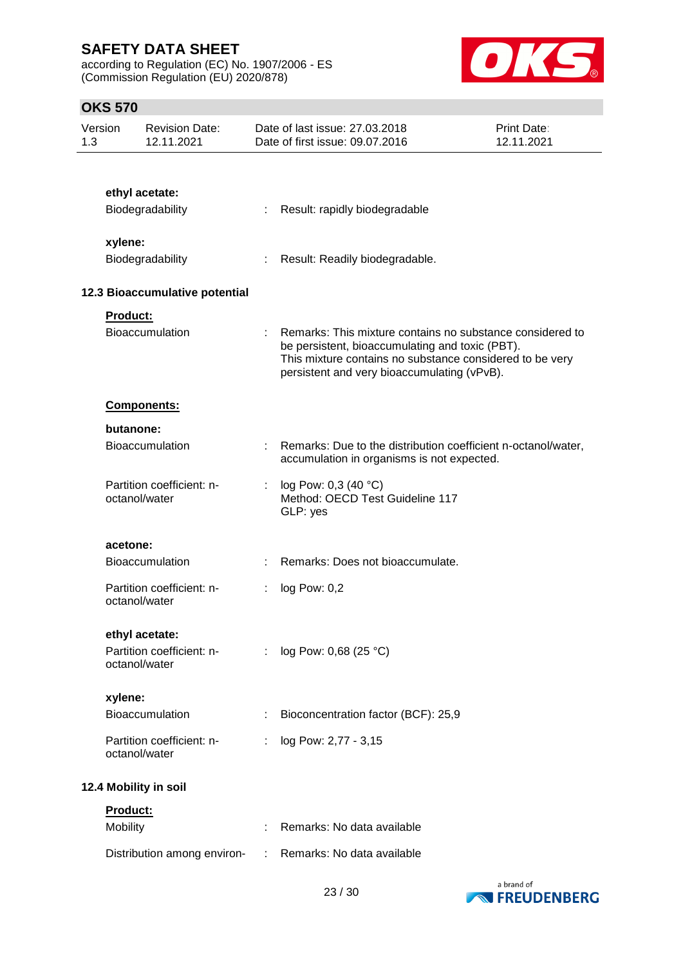according to Regulation (EC) No. 1907/2006 - ES (Commission Regulation (EU) 2020/878)



| Version<br>1.3 |           | <b>Revision Date:</b><br>12.11.2021        |                           | Date of last issue: 27.03.2018<br>Date of first issue: 09.07.2016                                                                                                                                                       | <b>Print Date:</b><br>12.11.2021 |
|----------------|-----------|--------------------------------------------|---------------------------|-------------------------------------------------------------------------------------------------------------------------------------------------------------------------------------------------------------------------|----------------------------------|
|                |           |                                            |                           |                                                                                                                                                                                                                         |                                  |
|                |           | ethyl acetate:                             |                           |                                                                                                                                                                                                                         |                                  |
|                |           | Biodegradability                           | ÷                         | Result: rapidly biodegradable                                                                                                                                                                                           |                                  |
|                | xylene:   |                                            |                           |                                                                                                                                                                                                                         |                                  |
|                |           | Biodegradability                           |                           | Result: Readily biodegradable.                                                                                                                                                                                          |                                  |
|                |           |                                            |                           |                                                                                                                                                                                                                         |                                  |
|                |           | 12.3 Bioaccumulative potential             |                           |                                                                                                                                                                                                                         |                                  |
|                | Product:  | Bioaccumulation                            | $\mathbb{R}^{\mathbb{Z}}$ | Remarks: This mixture contains no substance considered to<br>be persistent, bioaccumulating and toxic (PBT).<br>This mixture contains no substance considered to be very<br>persistent and very bioaccumulating (vPvB). |                                  |
|                |           | <b>Components:</b>                         |                           |                                                                                                                                                                                                                         |                                  |
|                | butanone: |                                            |                           |                                                                                                                                                                                                                         |                                  |
|                |           | <b>Bioaccumulation</b>                     |                           | Remarks: Due to the distribution coefficient n-octanol/water,<br>accumulation in organisms is not expected.                                                                                                             |                                  |
|                |           | Partition coefficient: n-<br>octanol/water |                           | log Pow: 0,3 (40 °C)<br>Method: OECD Test Guideline 117<br>GLP: yes                                                                                                                                                     |                                  |
|                | acetone:  |                                            |                           |                                                                                                                                                                                                                         |                                  |
|                |           | <b>Bioaccumulation</b>                     |                           | Remarks: Does not bioaccumulate.                                                                                                                                                                                        |                                  |
|                |           | Partition coefficient: n-<br>octanol/water | ÷                         | log Pow: 0,2                                                                                                                                                                                                            |                                  |
|                |           | ethyl acetate:                             |                           |                                                                                                                                                                                                                         |                                  |
|                |           | Partition coefficient: n-<br>octanol/water |                           | log Pow: 0,68 (25 °C)                                                                                                                                                                                                   |                                  |
|                | xylene:   |                                            |                           |                                                                                                                                                                                                                         |                                  |
|                |           | <b>Bioaccumulation</b>                     |                           | Bioconcentration factor (BCF): 25,9                                                                                                                                                                                     |                                  |
|                |           | Partition coefficient: n-<br>octanol/water |                           | log Pow: 2,77 - 3,15                                                                                                                                                                                                    |                                  |
|                |           | 12.4 Mobility in soil                      |                           |                                                                                                                                                                                                                         |                                  |
|                | Product:  |                                            |                           |                                                                                                                                                                                                                         |                                  |
|                | Mobility  |                                            |                           | Remarks: No data available                                                                                                                                                                                              |                                  |
|                |           | Distribution among environ-                |                           | Remarks: No data available                                                                                                                                                                                              |                                  |

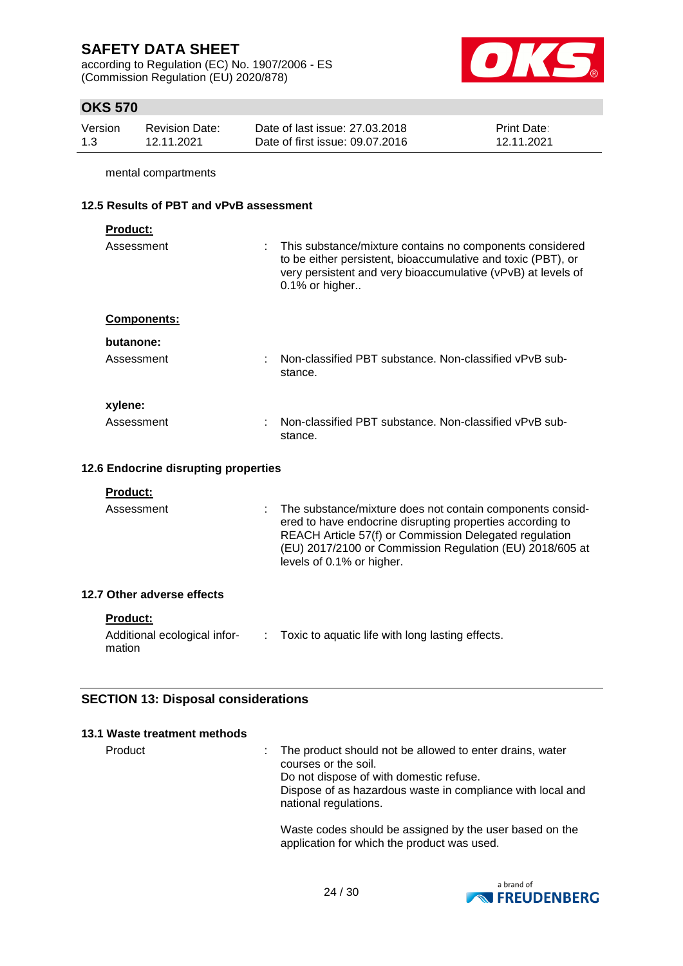according to Regulation (EC) No. 1907/2006 - ES (Commission Regulation (EU) 2020/878)



# **OKS 570**

| Version | <b>Revision Date:</b> | Date of last issue: 27,03,2018  | <b>Print Date:</b> |
|---------|-----------------------|---------------------------------|--------------------|
| 1.3     | 12.11.2021            | Date of first issue: 09.07.2016 | 12.11.2021         |

mental compartments

#### **12.5 Results of PBT and vPvB assessment**

| <b>Product:</b><br>Assessment | : This substance/mixture contains no components considered<br>to be either persistent, bioaccumulative and toxic (PBT), or<br>very persistent and very bioaccumulative (vPvB) at levels of<br>$0.1\%$ or higher |
|-------------------------------|-----------------------------------------------------------------------------------------------------------------------------------------------------------------------------------------------------------------|
| <b>Components:</b>            |                                                                                                                                                                                                                 |
| butanone:                     |                                                                                                                                                                                                                 |
| Assessment                    | Non-classified PBT substance. Non-classified vPvB sub-<br>stance.                                                                                                                                               |
| xylene:                       |                                                                                                                                                                                                                 |
| Assessment                    | Non-classified PBT substance. Non-classified vPvB sub-<br>stance.                                                                                                                                               |

#### **12.6 Endocrine disrupting properties**

| Assessment                 | The substance/mixture does not contain components consid-<br>ered to have endocrine disrupting properties according to<br>REACH Article 57(f) or Commission Delegated regulation<br>(EU) 2017/2100 or Commission Regulation (EU) 2018/605 at<br>levels of 0.1% or higher. |
|----------------------------|---------------------------------------------------------------------------------------------------------------------------------------------------------------------------------------------------------------------------------------------------------------------------|
| 12.7 Other adverse effects |                                                                                                                                                                                                                                                                           |

#### **Product:**

| Additional ecological infor- | Toxic to aquatic life with long lasting effects. |
|------------------------------|--------------------------------------------------|
| mation                       |                                                  |

### **SECTION 13: Disposal considerations**

#### **13.1 Waste treatment methods**

Product The product should not be allowed to enter drains, water courses or the soil. Do not dispose of with domestic refuse. Dispose of as hazardous waste in compliance with local and national regulations.

Waste codes should be assigned by the user based on the application for which the product was used.

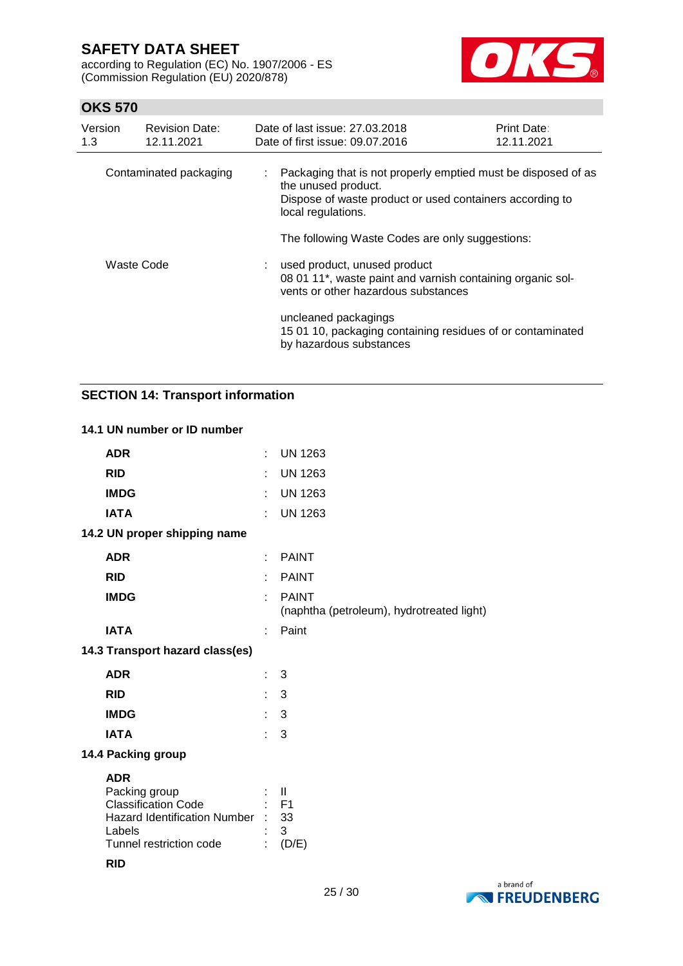according to Regulation (EC) No. 1907/2006 - ES (Commission Regulation (EU) 2020/878)



### **OKS 570**

| Version<br>1.3 | <b>Revision Date:</b><br>12.11.2021 |    | Date of last issue: 27.03.2018<br>Date of first issue: 09.07.2016                                                                                                                                                         | <b>Print Date:</b><br>12.11.2021 |
|----------------|-------------------------------------|----|---------------------------------------------------------------------------------------------------------------------------------------------------------------------------------------------------------------------------|----------------------------------|
|                | Contaminated packaging              | ÷. | Packaging that is not properly emptied must be disposed of as<br>the unused product.<br>Dispose of waste product or used containers according to<br>local regulations.<br>The following Waste Codes are only suggestions: |                                  |
| Waste Code     |                                     |    | : used product, unused product<br>08 01 11*, waste paint and varnish containing organic sol-<br>vents or other hazardous substances                                                                                       |                                  |
|                |                                     |    | uncleaned packagings<br>15 01 10, packaging containing residues of or contaminated<br>by hazardous substances                                                                                                             |                                  |

# **SECTION 14: Transport information**

#### **14.1 UN number or ID number**

| <b>ADR</b>                                                                                                                                        | t              | <b>UN 1263</b>                                            |
|---------------------------------------------------------------------------------------------------------------------------------------------------|----------------|-----------------------------------------------------------|
| <b>RID</b>                                                                                                                                        | ÷              | <b>UN 1263</b>                                            |
| <b>IMDG</b>                                                                                                                                       | ÷              | <b>UN 1263</b>                                            |
| <b>IATA</b>                                                                                                                                       | ۰              | <b>UN 1263</b>                                            |
| 14.2 UN proper shipping name                                                                                                                      |                |                                                           |
| <b>ADR</b>                                                                                                                                        | ÷              | <b>PAINT</b>                                              |
| <b>RID</b>                                                                                                                                        |                | <b>PAINT</b>                                              |
| <b>IMDG</b>                                                                                                                                       | t              | <b>PAINT</b><br>(naphtha (petroleum), hydrotreated light) |
| <b>IATA</b>                                                                                                                                       |                | Paint                                                     |
| 14.3 Transport hazard class(es)                                                                                                                   |                |                                                           |
| <b>ADR</b>                                                                                                                                        | ÷.             | 3                                                         |
| <b>RID</b>                                                                                                                                        | t.             | 3                                                         |
| <b>IMDG</b>                                                                                                                                       | t.             | 3                                                         |
| <b>IATA</b>                                                                                                                                       | $\mathbf{r}$ . | 3                                                         |
| 14.4 Packing group                                                                                                                                |                |                                                           |
| <b>ADR</b><br>Packing group<br><b>Classification Code</b><br>Hazard Identification Number : 33<br>Labels<br>Tunnel restriction code<br><b>RID</b> | ÷              | $\mathbf{I}$<br>$:$ F1<br>3<br>(D/E)                      |
|                                                                                                                                                   |                |                                                           |

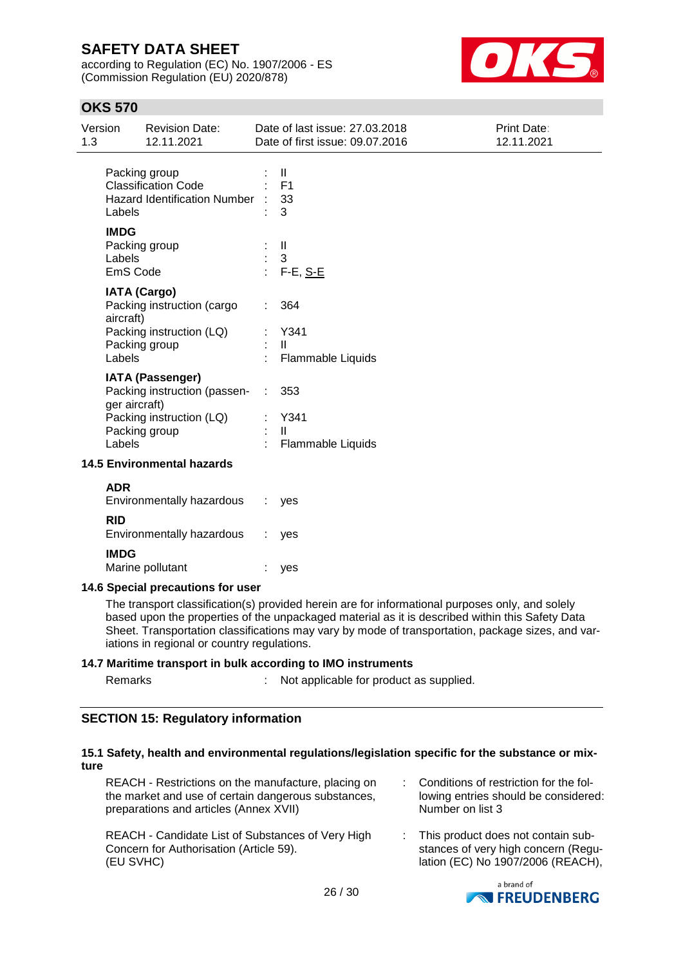according to Regulation (EC) No. 1907/2006 - ES (Commission Regulation (EU) 2020/878)



### **OKS 570**

| Version<br>1.3 |                                   | <b>Revision Date:</b><br>12.11.2021                                                                  |                | Date of last issue: 27.03.2018<br>Date of first issue: 09.07.2016 | <b>Print Date:</b><br>12.11.2021 |
|----------------|-----------------------------------|------------------------------------------------------------------------------------------------------|----------------|-------------------------------------------------------------------|----------------------------------|
|                | Labels                            | Packing group<br><b>Classification Code</b><br><b>Hazard Identification Number</b>                   |                | $\mathbf{H}$<br>F <sub>1</sub><br>33<br>3                         |                                  |
|                | <b>IMDG</b><br>Labels<br>EmS Code | Packing group                                                                                        |                | $\mathbf{I}$<br>3<br>F-E, S-E                                     |                                  |
|                | aircraft)<br>Labels               | <b>IATA (Cargo)</b><br>Packing instruction (cargo<br>Packing instruction (LQ)<br>Packing group       | ÷              | 364<br>Y341<br>$\mathbf{H}$<br>Flammable Liquids                  |                                  |
|                | ger aircraft)<br>Labels           | <b>IATA (Passenger)</b><br>Packing instruction (passen-<br>Packing instruction (LQ)<br>Packing group | $\mathbb{Z}^n$ | 353<br>Y341<br>$\mathbf{H}$<br>Flammable Liquids                  |                                  |
|                |                                   | <b>14.5 Environmental hazards</b>                                                                    |                |                                                                   |                                  |
|                | <b>ADR</b><br><b>RID</b>          | Environmentally hazardous<br>Environmentally hazardous                                               |                | yes<br>yes                                                        |                                  |
|                | <b>IMDG</b>                       | Marine pollutant                                                                                     |                | yes                                                               |                                  |

#### **14.6 Special precautions for user**

The transport classification(s) provided herein are for informational purposes only, and solely based upon the properties of the unpackaged material as it is described within this Safety Data Sheet. Transportation classifications may vary by mode of transportation, package sizes, and variations in regional or country regulations.

#### **14.7 Maritime transport in bulk according to IMO instruments**

| Remarks |  | Not applicable for product as supplied. |
|---------|--|-----------------------------------------|
|---------|--|-----------------------------------------|

#### **SECTION 15: Regulatory information**

#### **15.1 Safety, health and environmental regulations/legislation specific for the substance or mixture**

| REACH - Restrictions on the manufacture, placing on<br>the market and use of certain dangerous substances,<br>preparations and articles (Annex XVII) | : Conditions of restriction for the fol-<br>lowing entries should be considered:<br>Number on list 3             |
|------------------------------------------------------------------------------------------------------------------------------------------------------|------------------------------------------------------------------------------------------------------------------|
| REACH - Candidate List of Substances of Very High<br>Concern for Authorisation (Article 59).<br>(EU SVHC)                                            | : This product does not contain sub-<br>stances of very high concern (Regu-<br>lation (EC) No 1907/2006 (REACH), |

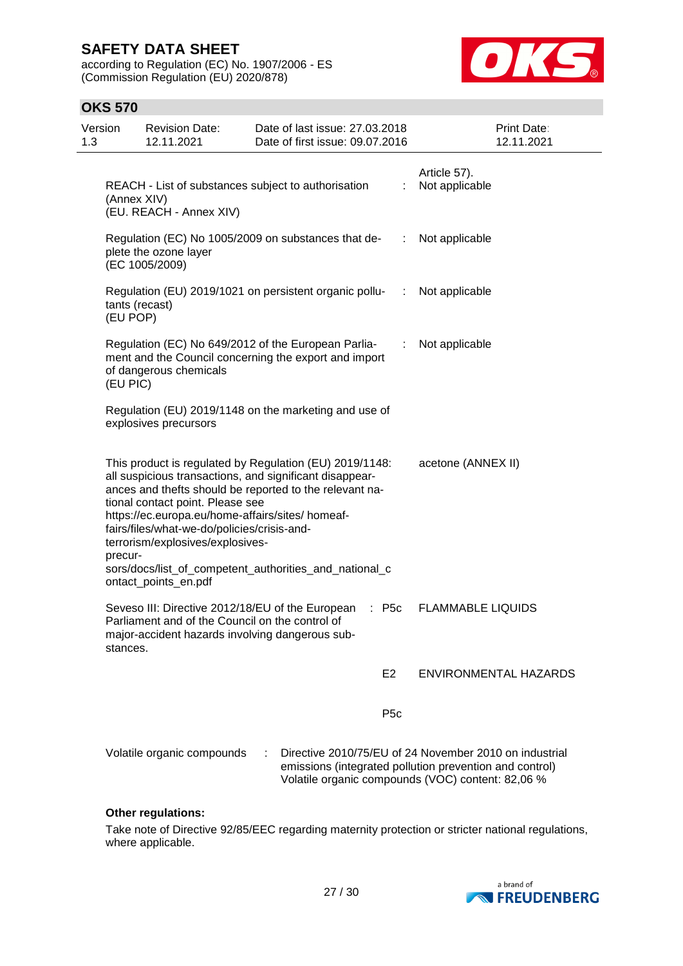according to Regulation (EC) No. 1907/2006 - ES (Commission Regulation (EU) 2020/878)



### **OKS 570**

| Version<br>1.3 | <b>Revision Date:</b><br>12.11.2021                                                                                                                                                             | Date of last issue: 27.03.2018<br>Date of first issue: 09.07.2016                                                                                                                                                                       |                  | Print Date:<br>12.11.2021                                                                                                                                              |
|----------------|-------------------------------------------------------------------------------------------------------------------------------------------------------------------------------------------------|-----------------------------------------------------------------------------------------------------------------------------------------------------------------------------------------------------------------------------------------|------------------|------------------------------------------------------------------------------------------------------------------------------------------------------------------------|
|                | (Annex XIV)<br>(EU. REACH - Annex XIV)                                                                                                                                                          | REACH - List of substances subject to authorisation                                                                                                                                                                                     | ÷                | Article 57).<br>Not applicable                                                                                                                                         |
|                | plete the ozone layer<br>(EC 1005/2009)                                                                                                                                                         | Regulation (EC) No 1005/2009 on substances that de-                                                                                                                                                                                     | ÷.               | Not applicable                                                                                                                                                         |
|                | tants (recast)<br>(EU POP)                                                                                                                                                                      | Regulation (EU) 2019/1021 on persistent organic pollu-                                                                                                                                                                                  | $\sim 100$       | Not applicable                                                                                                                                                         |
|                | of dangerous chemicals<br>(EU PIC)                                                                                                                                                              | Regulation (EC) No 649/2012 of the European Parlia-<br>ment and the Council concerning the export and import                                                                                                                            | ÷                | Not applicable                                                                                                                                                         |
|                | explosives precursors                                                                                                                                                                           | Regulation (EU) 2019/1148 on the marketing and use of                                                                                                                                                                                   |                  |                                                                                                                                                                        |
| precur-        | tional contact point. Please see<br>https://ec.europa.eu/home-affairs/sites/ homeaf-<br>fairs/files/what-we-do/policies/crisis-and-<br>terrorism/explosives/explosives-<br>ontact_points_en.pdf | This product is regulated by Regulation (EU) 2019/1148:<br>all suspicious transactions, and significant disappear-<br>ances and thefts should be reported to the relevant na-<br>sors/docs/list_of_competent_authorities_and_national_c |                  | acetone (ANNEX II)                                                                                                                                                     |
|                | Seveso III: Directive 2012/18/EU of the European<br>Parliament and of the Council on the control of<br>major-accident hazards involving dangerous sub-<br>stances.                              |                                                                                                                                                                                                                                         | $:$ P5c          | <b>FLAMMABLE LIQUIDS</b>                                                                                                                                               |
|                |                                                                                                                                                                                                 |                                                                                                                                                                                                                                         | E <sub>2</sub>   | <b>ENVIRONMENTAL HAZARDS</b>                                                                                                                                           |
|                |                                                                                                                                                                                                 |                                                                                                                                                                                                                                         | P <sub>5</sub> c |                                                                                                                                                                        |
|                | Volatile organic compounds                                                                                                                                                                      |                                                                                                                                                                                                                                         |                  | Directive 2010/75/EU of 24 November 2010 on industrial<br>emissions (integrated pollution prevention and control)<br>Volatile organic compounds (VOC) content: 82,06 % |

#### **Other regulations:**

Take note of Directive 92/85/EEC regarding maternity protection or stricter national regulations, where applicable.

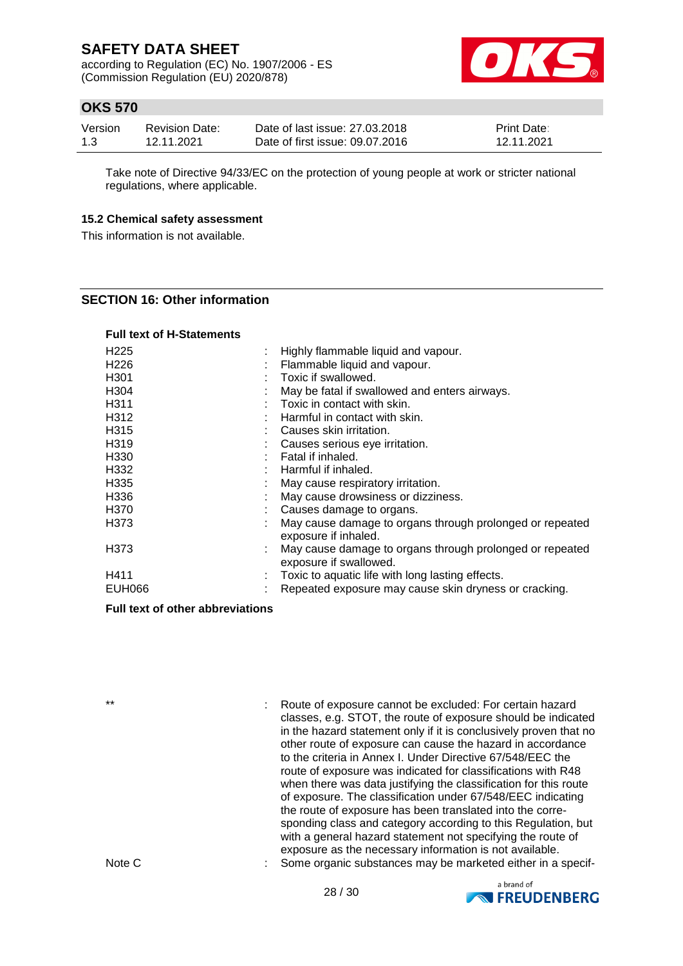according to Regulation (EC) No. 1907/2006 - ES (Commission Regulation (EU) 2020/878)



### **OKS 570**

| Version | <b>Revision Date:</b> | Date of last issue: 27,03,2018  | <b>Print Date:</b> |
|---------|-----------------------|---------------------------------|--------------------|
| 1.3     | 12.11.2021            | Date of first issue: 09.07.2016 | 12.11.2021         |

Take note of Directive 94/33/EC on the protection of young people at work or stricter national regulations, where applicable.

#### **15.2 Chemical safety assessment**

This information is not available.

### **SECTION 16: Other information**

#### **Full text of H-Statements**

| H <sub>225</sub> | ÷ | Highly flammable liquid and vapour.                                                |
|------------------|---|------------------------------------------------------------------------------------|
| H <sub>226</sub> |   | Flammable liquid and vapour.                                                       |
| H <sub>301</sub> |   | Toxic if swallowed.                                                                |
| H <sub>304</sub> |   | May be fatal if swallowed and enters airways.                                      |
| H <sub>311</sub> |   | Toxic in contact with skin.                                                        |
| H312             |   | Harmful in contact with skin.                                                      |
| H <sub>315</sub> |   | Causes skin irritation.                                                            |
| H319             |   | Causes serious eye irritation.                                                     |
| H330             |   | Fatal if inhaled.                                                                  |
| H332             |   | Harmful if inhaled.                                                                |
| H335             |   | May cause respiratory irritation.                                                  |
| H <sub>336</sub> |   | May cause drowsiness or dizziness.                                                 |
| H370             |   | Causes damage to organs.                                                           |
| H373             |   | May cause damage to organs through prolonged or repeated<br>exposure if inhaled.   |
| H373             |   | May cause damage to organs through prolonged or repeated<br>exposure if swallowed. |
| H411             |   | Toxic to aquatic life with long lasting effects.                                   |
| <b>EUH066</b>    |   | Repeated exposure may cause skin dryness or cracking.                              |

#### **Full text of other abbreviations**

\*\* : Route of exposure cannot be excluded: For certain hazard classes, e.g. STOT, the route of exposure should be indicated in the hazard statement only if it is conclusively proven that no other route of exposure can cause the hazard in accordance to the criteria in Annex I. Under Directive 67/548/EEC the route of exposure was indicated for classifications with R48 when there was data justifying the classification for this route of exposure. The classification under 67/548/EEC indicating the route of exposure has been translated into the corresponding class and category according to this Regulation, but with a general hazard statement not specifying the route of exposure as the necessary information is not available. Note C : Some organic substances may be marketed either in a specif-



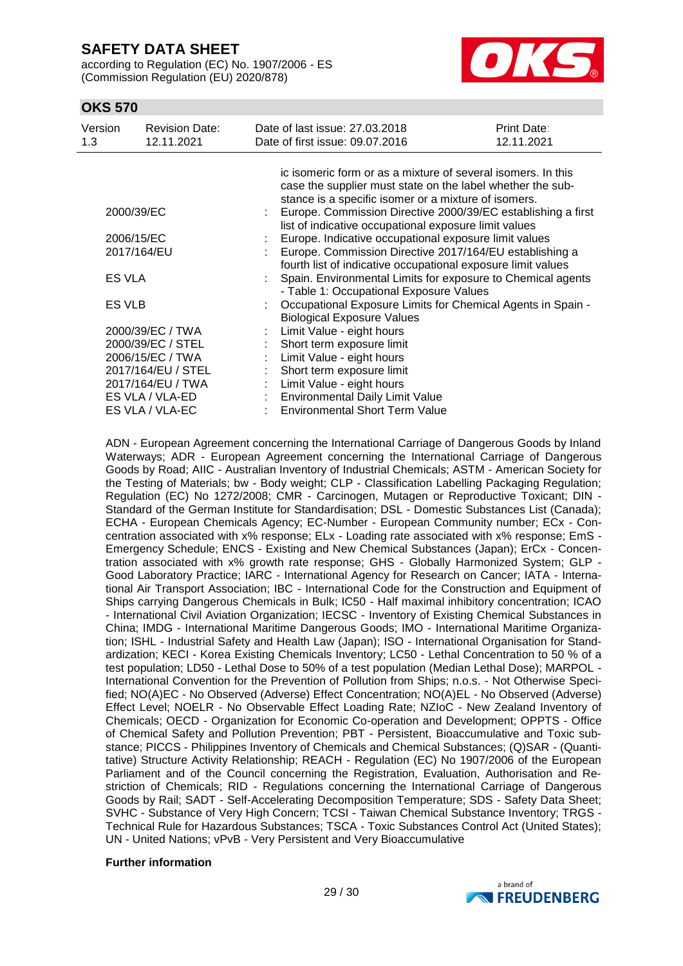according to Regulation (EC) No. 1907/2006 - ES (Commission Regulation (EU) 2020/878)



### **OKS 570**

| Version<br>1.3                                  | <b>Revision Date:</b><br>12.11.2021 |                               | Date of last issue: 27,03,2018<br>Date of first issue: 09.07.2016                                                     | Print Date:<br>12.11.2021 |  |  |  |  |
|-------------------------------------------------|-------------------------------------|-------------------------------|-----------------------------------------------------------------------------------------------------------------------|---------------------------|--|--|--|--|
|                                                 |                                     |                               | ic isomeric form or as a mixture of several isomers. In this                                                          |                           |  |  |  |  |
|                                                 |                                     |                               | case the supplier must state on the label whether the sub-                                                            |                           |  |  |  |  |
|                                                 |                                     |                               | stance is a specific isomer or a mixture of isomers.                                                                  |                           |  |  |  |  |
|                                                 | 2000/39/EC                          |                               | Europe. Commission Directive 2000/39/EC establishing a first<br>list of indicative occupational exposure limit values |                           |  |  |  |  |
|                                                 | 2006/15/EC                          |                               |                                                                                                                       |                           |  |  |  |  |
|                                                 | 2017/164/EU                         |                               | Europe. Indicative occupational exposure limit values<br>Europe. Commission Directive 2017/164/EU establishing a      |                           |  |  |  |  |
|                                                 |                                     |                               | fourth list of indicative occupational exposure limit values                                                          |                           |  |  |  |  |
| ES VLA                                          |                                     |                               | : Spain. Environmental Limits for exposure to Chemical agents<br>- Table 1: Occupational Exposure Values              |                           |  |  |  |  |
| ES VLB                                          |                                     |                               | Occupational Exposure Limits for Chemical Agents in Spain -                                                           |                           |  |  |  |  |
|                                                 |                                     |                               | <b>Biological Exposure Values</b>                                                                                     |                           |  |  |  |  |
|                                                 | 2000/39/EC / TWA                    |                               | Limit Value - eight hours                                                                                             |                           |  |  |  |  |
|                                                 | 2000/39/EC / STEL                   |                               | Short term exposure limit                                                                                             |                           |  |  |  |  |
| 2006/15/EC / TWA<br>Limit Value - eight hours   |                                     |                               |                                                                                                                       |                           |  |  |  |  |
| 2017/164/EU / STEL<br>Short term exposure limit |                                     |                               |                                                                                                                       |                           |  |  |  |  |
|                                                 | 2017/164/EU / TWA                   | $\mathcal{L}^{\mathcal{L}}$ . | Limit Value - eight hours                                                                                             |                           |  |  |  |  |
|                                                 | ES VLA / VLA-ED                     |                               | Environmental Daily Limit Value                                                                                       |                           |  |  |  |  |
|                                                 | ES VLA / VLA-EC                     |                               | <b>Environmental Short Term Value</b>                                                                                 |                           |  |  |  |  |

ADN - European Agreement concerning the International Carriage of Dangerous Goods by Inland Waterways; ADR - European Agreement concerning the International Carriage of Dangerous Goods by Road; AIIC - Australian Inventory of Industrial Chemicals; ASTM - American Society for the Testing of Materials; bw - Body weight; CLP - Classification Labelling Packaging Regulation; Regulation (EC) No 1272/2008; CMR - Carcinogen, Mutagen or Reproductive Toxicant; DIN - Standard of the German Institute for Standardisation; DSL - Domestic Substances List (Canada); ECHA - European Chemicals Agency; EC-Number - European Community number; ECx - Concentration associated with x% response; ELx - Loading rate associated with x% response; EmS - Emergency Schedule; ENCS - Existing and New Chemical Substances (Japan); ErCx - Concentration associated with x% growth rate response; GHS - Globally Harmonized System; GLP - Good Laboratory Practice; IARC - International Agency for Research on Cancer; IATA - International Air Transport Association; IBC - International Code for the Construction and Equipment of Ships carrying Dangerous Chemicals in Bulk; IC50 - Half maximal inhibitory concentration; ICAO - International Civil Aviation Organization; IECSC - Inventory of Existing Chemical Substances in China; IMDG - International Maritime Dangerous Goods; IMO - International Maritime Organization; ISHL - Industrial Safety and Health Law (Japan); ISO - International Organisation for Standardization; KECI - Korea Existing Chemicals Inventory; LC50 - Lethal Concentration to 50 % of a test population; LD50 - Lethal Dose to 50% of a test population (Median Lethal Dose); MARPOL - International Convention for the Prevention of Pollution from Ships; n.o.s. - Not Otherwise Specified; NO(A)EC - No Observed (Adverse) Effect Concentration; NO(A)EL - No Observed (Adverse) Effect Level; NOELR - No Observable Effect Loading Rate; NZIoC - New Zealand Inventory of Chemicals; OECD - Organization for Economic Co-operation and Development; OPPTS - Office of Chemical Safety and Pollution Prevention; PBT - Persistent, Bioaccumulative and Toxic substance; PICCS - Philippines Inventory of Chemicals and Chemical Substances; (Q)SAR - (Quantitative) Structure Activity Relationship; REACH - Regulation (EC) No 1907/2006 of the European Parliament and of the Council concerning the Registration, Evaluation, Authorisation and Restriction of Chemicals; RID - Regulations concerning the International Carriage of Dangerous Goods by Rail; SADT - Self-Accelerating Decomposition Temperature; SDS - Safety Data Sheet; SVHC - Substance of Very High Concern; TCSI - Taiwan Chemical Substance Inventory; TRGS - Technical Rule for Hazardous Substances; TSCA - Toxic Substances Control Act (United States); UN - United Nations; vPvB - Very Persistent and Very Bioaccumulative

#### **Further information**